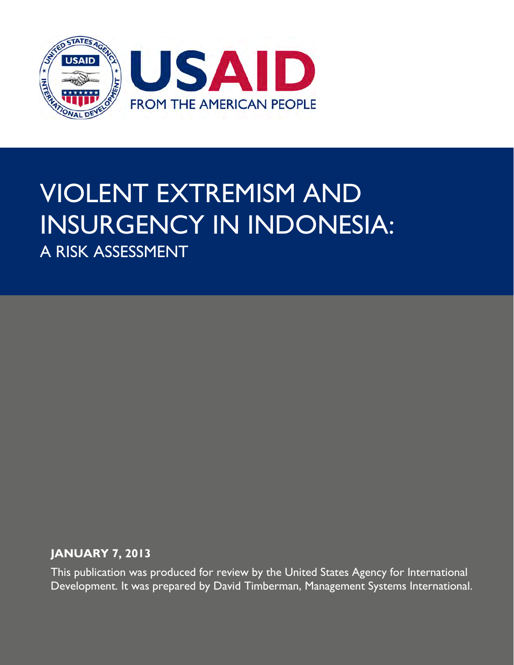

## VIOLENT EXTREMISM AND INSURGENCY IN INDONESIA: A RISK ASSESSMENT

#### **JANUARY 7, 2013**

This publication was produced for review by the United States Agency for International Development. It was prepared by David Timberman, Management Systems International.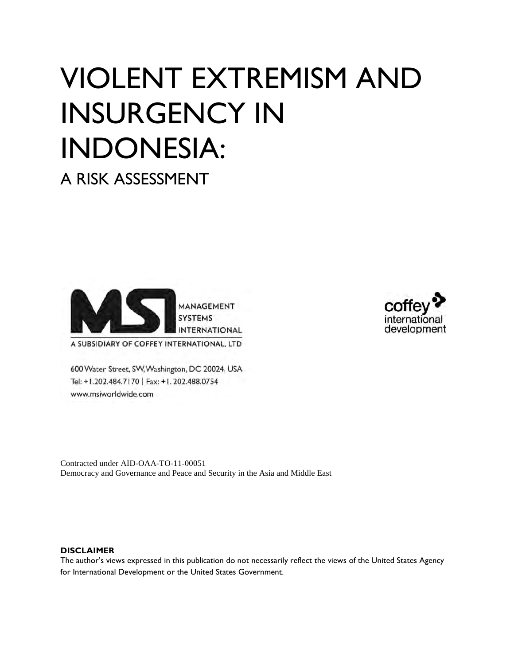# VIOLENT EXTREMISM AND INSURGENCY IN INDONESIA:

A RISK ASSESSMENT





A SUBSIDIARY OF COFFEY INTERNATIONAL, LTD

600 Water Street, SW, Washington, DC 20024, USA Tel: +1.202.484.7170 | Fax: +1.202.488.0754 www.msiworldwide.com

Contracted under AID-OAA-TO-11-00051 Democracy and Governance and Peace and Security in the Asia and Middle East

#### **DISCLAIMER**

The author's views expressed in this publication do not necessarily reflect the views of the United States Agency for International Development or the United States Government.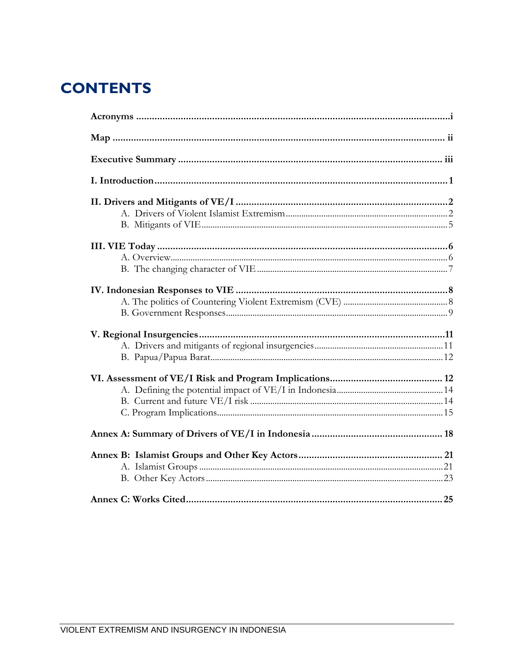## **CONTENTS**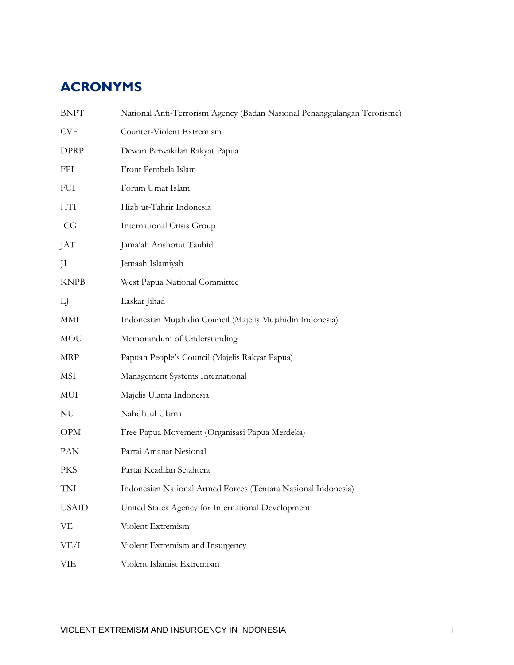## <span id="page-3-0"></span>**ACRONYMS**

| <b>BNPT</b>  | National Anti-Terrorism Agency (Badan Nasional Penanggulangan Terorisme) |
|--------------|--------------------------------------------------------------------------|
| <b>CVE</b>   | Counter-Violent Extremism                                                |
| <b>DPRP</b>  | Dewan Perwakilan Rakyat Papua                                            |
| <b>FPI</b>   | Front Pembela Islam                                                      |
| <b>FUI</b>   | Forum Umat Islam                                                         |
| HTI          | Hizb ut-Tahrir Indonesia                                                 |
| ICG          | <b>International Crisis Group</b>                                        |
| JAT          | Jama'ah Anshorut Tauhid                                                  |
| JI           | Jemaah Islamiyah                                                         |
| <b>KNPB</b>  | West Papua National Committee                                            |
| LJ           | Laskar Jihad                                                             |
| MMI          | Indonesian Mujahidin Council (Majelis Mujahidin Indonesia)               |
| MOU          | Memorandum of Understanding                                              |
| MRP          | Papuan People's Council (Majelis Rakyat Papua)                           |
| MSI          | Management Systems International                                         |
| MUI          | Majelis Ulama Indonesia                                                  |
| NU           | Nahdlatul Ulama                                                          |
| <b>OPM</b>   | Free Papua Movement (Organisasi Papua Merdeka)                           |
| PAN          | Partai Amanat Nesional                                                   |
| <b>PKS</b>   | Partai Keadilan Sejahtera                                                |
| TNI          | Indonesian National Armed Forces (Tentara Nasional Indonesia)            |
| <b>USAID</b> | United States Agency for International Development                       |
| VE           | Violent Extremism                                                        |
| VE/I         | Violent Extremism and Insurgency                                         |
| VIE          | Violent Islamist Extremism                                               |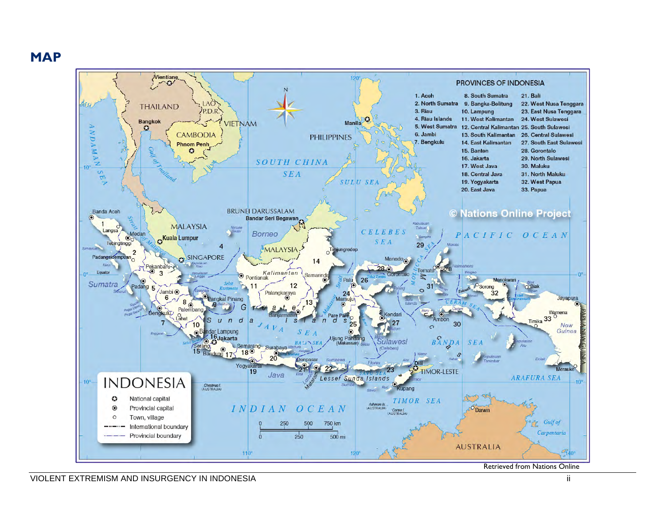**MAP**

<span id="page-4-0"></span>

Retrieved from Nations Online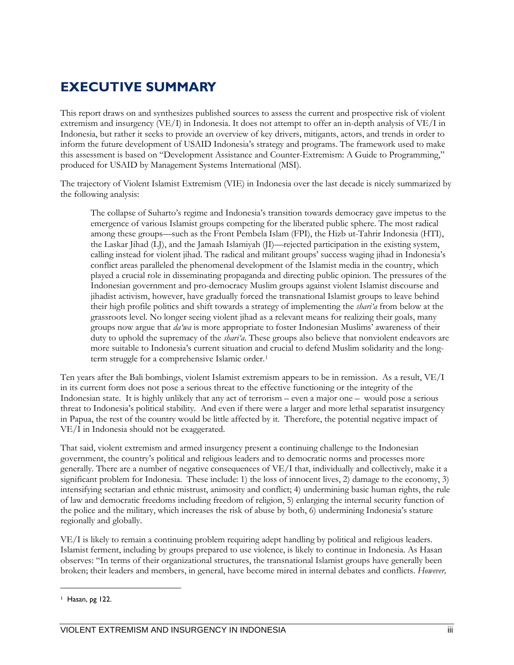#### <span id="page-5-0"></span>**EXECUTIVE SUMMARY**

This report draws on and synthesizes published sources to assess the current and prospective risk of violent extremism and insurgency (VE/I) in Indonesia. It does not attempt to offer an in-depth analysis of VE/I in Indonesia, but rather it seeks to provide an overview of key drivers, mitigants, actors, and trends in order to inform the future development of USAID Indonesia's strategy and programs. The framework used to make this assessment is based on "Development Assistance and Counter-Extremism: A Guide to Programming," produced for USAID by Management Systems International (MSI).

The trajectory of Violent Islamist Extremism (VIE) in Indonesia over the last decade is nicely summarized by the following analysis:

The collapse of Suharto's regime and Indonesia's transition towards democracy gave impetus to the emergence of various Islamist groups competing for the liberated public sphere. The most radical among these groups—such as the Front Pembela Islam (FPI), the Hizb ut-Tahrir Indonesia (HTI), the Laskar Jihad (LJ), and the Jamaah Islamiyah (JI)—rejected participation in the existing system, calling instead for violent jihad. The radical and militant groups' success waging jihad in Indonesia's conflict areas paralleled the phenomenal development of the Islamist media in the country, which played a crucial role in disseminating propaganda and directing public opinion. The pressures of the Indonesian government and pro-democracy Muslim groups against violent Islamist discourse and jihadist activism, however, have gradually forced the transnational Islamist groups to leave behind their high profile politics and shift towards a strategy of implementing the *shari'a* from below at the grassroots level. No longer seeing violent jihad as a relevant means for realizing their goals, many groups now argue that *da'wa* is more appropriate to foster Indonesian Muslims' awareness of their duty to uphold the supremacy of the *shari'a*. These groups also believe that nonviolent endeavors are more suitable to Indonesia's current situation and crucial to defend Muslim solidarity and the long-term struggle for a comprehensive Islamic order.<sup>[1](#page-5-1)</sup>

Ten years after the Bali bombings, violent Islamist extremism appears to be in remission. As a result, VE/I in its current form does not pose a serious threat to the effective functioning or the integrity of the Indonesian state. It is highly unlikely that any act of terrorism – even a major one – would pose a serious threat to Indonesia's political stability. And even if there were a larger and more lethal separatist insurgency in Papua, the rest of the country would be little affected by it. Therefore, the potential negative impact of VE/I in Indonesia should not be exaggerated.

That said, violent extremism and armed insurgency present a continuing challenge to the Indonesian government, the country's political and religious leaders and to democratic norms and processes more generally. There are a number of negative consequences of VE/I that, individually and collectively, make it a significant problem for Indonesia. These include: 1) the loss of innocent lives, 2) damage to the economy, 3) intensifying sectarian and ethnic mistrust, animosity and conflict; 4) undermining basic human rights, the rule of law and democratic freedoms including freedom of religion, 5) enlarging the internal security function of the police and the military, which increases the risk of abuse by both, 6) undermining Indonesia's stature regionally and globally.

VE/I is likely to remain a continuing problem requiring adept handling by political and religious leaders. Islamist ferment, including by groups prepared to use violence, is likely to continue in Indonesia. As Hasan observes: "In terms of their organizational structures, the transnational Islamist groups have generally been broken; their leaders and members, in general, have become mired in internal debates and conflicts. *However,* 

 $\ddot{\phantom{a}}$ 

<span id="page-5-1"></span><sup>1</sup> Hasan, pg 122.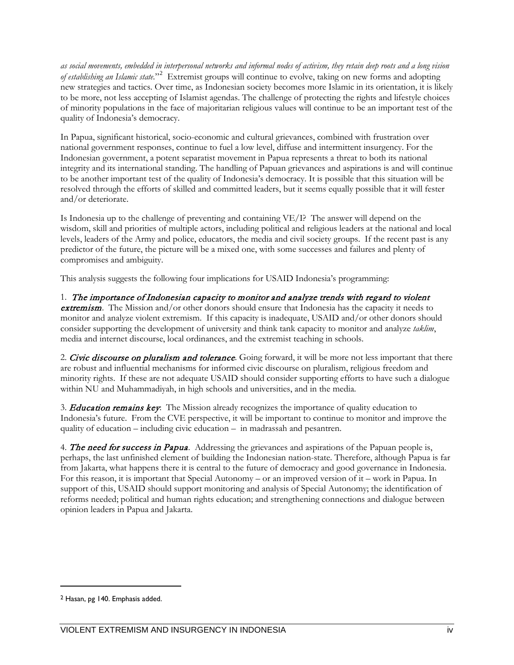*as social movements, embedded in interpersonal networks and informal nodes of activism, they retain deep roots and a long vision of establishing an Islamic state.*"[2](#page-6-0) Extremist groups will continue to evolve, taking on new forms and adopting new strategies and tactics. Over time, as Indonesian society becomes more Islamic in its orientation, it is likely to be more, not less accepting of Islamist agendas. The challenge of protecting the rights and lifestyle choices of minority populations in the face of majoritarian religious values will continue to be an important test of the quality of Indonesia's democracy.

In Papua, significant historical, socio-economic and cultural grievances, combined with frustration over national government responses, continue to fuel a low level, diffuse and intermittent insurgency. For the Indonesian government, a potent separatist movement in Papua represents a threat to both its national integrity and its international standing. The handling of Papuan grievances and aspirations is and will continue to be another important test of the quality of Indonesia's democracy. It is possible that this situation will be resolved through the efforts of skilled and committed leaders, but it seems equally possible that it will fester and/or deteriorate.

Is Indonesia up to the challenge of preventing and containing VE/I? The answer will depend on the wisdom, skill and priorities of multiple actors, including political and religious leaders at the national and local levels, leaders of the Army and police, educators, the media and civil society groups. If the recent past is any predictor of the future, the picture will be a mixed one, with some successes and failures and plenty of compromises and ambiguity.

This analysis suggests the following four implications for USAID Indonesia's programming:

1. The importance of Indonesian capacity to monitor and analyze trends with regard to violent extremism. The Mission and/or other donors should ensure that Indonesia has the capacity it needs to monitor and analyze violent extremism. If this capacity is inadequate, USAID and/or other donors should consider supporting the development of university and think tank capacity to monitor and analyze *taklim*, media and internet discourse, local ordinances, and the extremist teaching in schools.

2. Civic discourse on pluralism and tolerance. Going forward, it will be more not less important that there are robust and influential mechanisms for informed civic discourse on pluralism, religious freedom and minority rights. If these are not adequate USAID should consider supporting efforts to have such a dialogue within NU and Muhammadiyah, in high schools and universities, and in the media.

3. **Education remains key**: The Mission already recognizes the importance of quality education to Indonesia's future. From the CVE perspective, it will be important to continue to monitor and improve the quality of education – including civic education – in madrassah and pesantren.

4. The need for success in Papua. Addressing the grievances and aspirations of the Papuan people is, perhaps, the last unfinished element of building the Indonesian nation-state. Therefore, although Papua is far from Jakarta, what happens there it is central to the future of democracy and good governance in Indonesia. For this reason, it is important that Special Autonomy – or an improved version of it – work in Papua. In support of this, USAID should support monitoring and analysis of Special Autonomy; the identification of reforms needed; political and human rights education; and strengthening connections and dialogue between opinion leaders in Papua and Jakarta.

 $\ddot{\phantom{a}}$ 

<span id="page-6-0"></span><sup>2</sup> Hasan, pg 140. Emphasis added.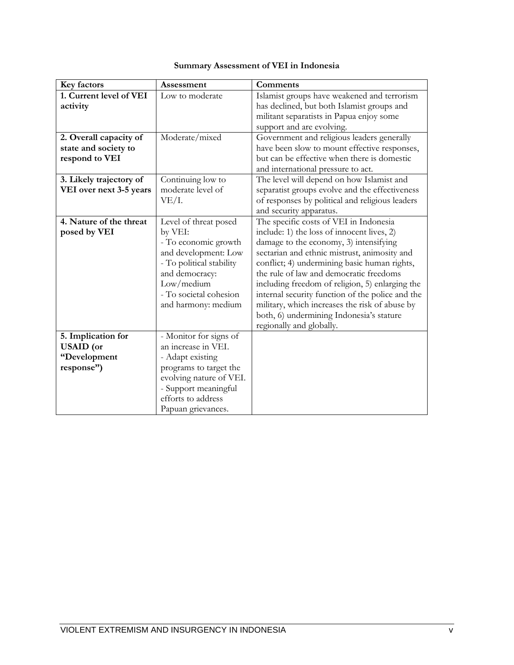#### **Summary Assessment of VEI in Indonesia**

| Key factors             | Assessment               | Comments                                         |
|-------------------------|--------------------------|--------------------------------------------------|
| 1. Current level of VEI | Low to moderate          | Islamist groups have weakened and terrorism      |
| activity                |                          | has declined, but both Islamist groups and       |
|                         |                          | militant separatists in Papua enjoy some         |
|                         |                          | support and are evolving.                        |
| 2. Overall capacity of  | Moderate/mixed           | Government and religious leaders generally       |
| state and society to    |                          | have been slow to mount effective responses,     |
| respond to VEI          |                          | but can be effective when there is domestic      |
|                         |                          | and international pressure to act.               |
| 3. Likely trajectory of | Continuing low to        | The level will depend on how Islamist and        |
| VEI over next 3-5 years | moderate level of        | separatist groups evolve and the effectiveness   |
|                         | VE/I.                    | of responses by political and religious leaders  |
|                         |                          | and security apparatus.                          |
| 4. Nature of the threat | Level of threat posed    | The specific costs of VEI in Indonesia           |
| posed by VEI            | by VEI:                  | include: 1) the loss of innocent lives, 2)       |
|                         | - To economic growth     | damage to the economy, 3) intensifying           |
|                         | and development: Low     | sectarian and ethnic mistrust, animosity and     |
|                         | - To political stability | conflict; 4) undermining basic human rights,     |
|                         | and democracy:           | the rule of law and democratic freedoms          |
|                         | Low/medium               | including freedom of religion, 5) enlarging the  |
|                         | - To societal cohesion   | internal security function of the police and the |
|                         | and harmony: medium      | military, which increases the risk of abuse by   |
|                         |                          | both, 6) undermining Indonesia's stature         |
|                         |                          | regionally and globally.                         |
| 5. Implication for      | - Monitor for signs of   |                                                  |
| <b>USAID</b> (or        | an increase in VEI.      |                                                  |
| "Development            | - Adapt existing         |                                                  |
| response")              | programs to target the   |                                                  |
|                         | evolving nature of VEI.  |                                                  |
|                         | - Support meaningful     |                                                  |
|                         | efforts to address       |                                                  |
|                         | Papuan grievances.       |                                                  |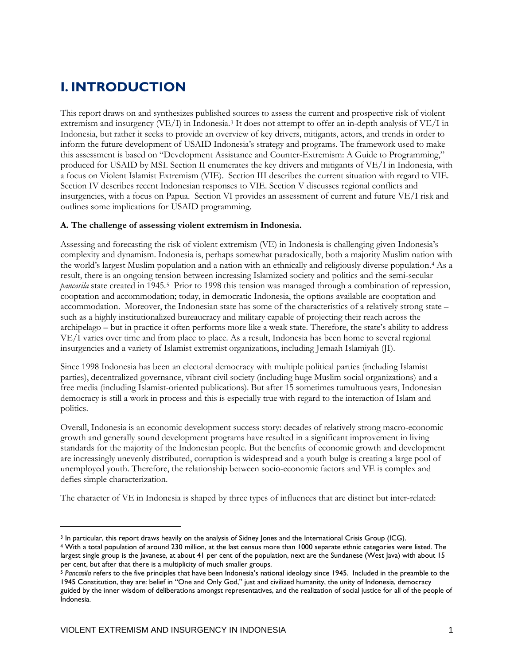## <span id="page-8-0"></span>**I. INTRODUCTION**

This report draws on and synthesizes published sources to assess the current and prospective risk of violent extremism and insurgency (VE/I) in Indonesia.[3](#page-8-1) It does not attempt to offer an in-depth analysis of VE/I in Indonesia, but rather it seeks to provide an overview of key drivers, mitigants, actors, and trends in order to inform the future development of USAID Indonesia's strategy and programs. The framework used to make this assessment is based on "Development Assistance and Counter-Extremism: A Guide to Programming," produced for USAID by MSI. Section II enumerates the key drivers and mitigants of VE/I in Indonesia, with a focus on Violent Islamist Extremism (VIE). Section III describes the current situation with regard to VIE. Section IV describes recent Indonesian responses to VIE. Section V discusses regional conflicts and insurgencies, with a focus on Papua. Section VI provides an assessment of current and future VE/I risk and outlines some implications for USAID programming.

#### **A. The challenge of assessing violent extremism in Indonesia.**

Assessing and forecasting the risk of violent extremism (VE) in Indonesia is challenging given Indonesia's complexity and dynamism. Indonesia is, perhaps somewhat paradoxically, both a majority Muslim nation with the world's largest Muslim population and a nation with an ethnically and religiously diverse population.[4](#page-8-2) As a result, there is an ongoing tension between increasing Islamized society and politics and the semi-secular *pancasila* state created in 1945.[5](#page-8-3) Prior to 1998 this tension was managed through a combination of repression, cooptation and accommodation; today, in democratic Indonesia, the options available are cooptation and accommodation. Moreover, the Indonesian state has some of the characteristics of a relatively strong state – such as a highly institutionalized bureaucracy and military capable of projecting their reach across the archipelago – but in practice it often performs more like a weak state. Therefore, the state's ability to address VE/I varies over time and from place to place. As a result, Indonesia has been home to several regional insurgencies and a variety of Islamist extremist organizations, including Jemaah Islamiyah (JI).

Since 1998 Indonesia has been an electoral democracy with multiple political parties (including Islamist parties), decentralized governance, vibrant civil society (including huge Muslim social organizations) and a free media (including Islamist-oriented publications). But after 15 sometimes tumultuous years, Indonesian democracy is still a work in process and this is especially true with regard to the interaction of Islam and politics.

Overall, Indonesia is an economic development success story: decades of relatively strong macro-economic growth and generally sound development programs have resulted in a significant improvement in living standards for the majority of the Indonesian people. But the benefits of economic growth and development are increasingly unevenly distributed, corruption is widespread and a youth bulge is creating a large pool of unemployed youth. Therefore, the relationship between socio-economic factors and VE is complex and defies simple characterization.

The character of VE in Indonesia is shaped by three types of influences that are distinct but inter-related:

 $\ddot{\phantom{a}}$ 

<span id="page-8-1"></span><sup>&</sup>lt;sup>3</sup> In particular, this report draws heavily on the analysis of Sidney Jones and the International Crisis Group (ICG).

<span id="page-8-2"></span><sup>4</sup> With a total population of around 230 million, at the last census more than 1000 separate ethnic categories were listed. The largest single group is the Javanese, at about 41 per cent of the population, next are the Sundanese (West Java) with about 15 per cent, but after that there is a multiplicity of much smaller groups.

<span id="page-8-3"></span><sup>5</sup> *Pancasila* refers to the five principles that have been Indonesia's national ideology since 1945. Included in the preamble to the 1945 Constitution, they are: belief in "One and Only God," just and civilized humanity, the unity of Indonesia, democracy guided by the inner wisdom of deliberations amongst representatives, and the realization of social justice for all of the people of Indonesia.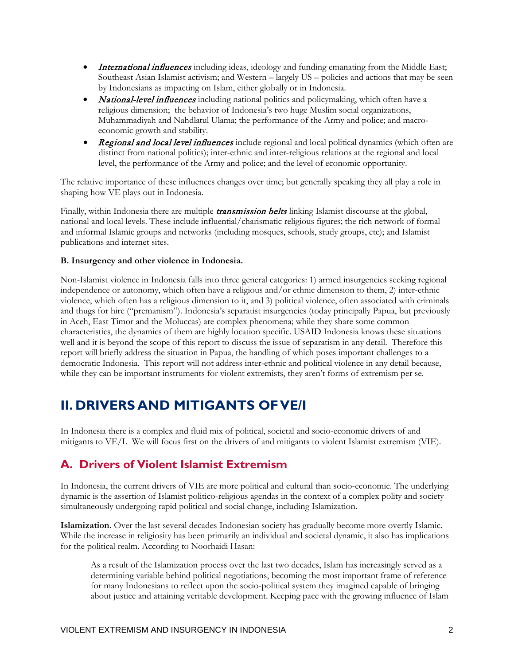- International influences including ideas, ideology and funding emanating from the Middle East; Southeast Asian Islamist activism; and Western – largely US – policies and actions that may be seen by Indonesians as impacting on Islam, either globally or in Indonesia.
- **National-level influences** including national politics and policymaking, which often have a religious dimension; the behavior of Indonesia's two huge Muslim social organizations, Muhammadiyah and Nahdlatul Ulama; the performance of the Army and police; and macroeconomic growth and stability.
- **Regional and local level influences** include regional and local political dynamics (which often are distinct from national politics); inter-ethnic and inter-religious relations at the regional and local level, the performance of the Army and police; and the level of economic opportunity.

The relative importance of these influences changes over time; but generally speaking they all play a role in shaping how VE plays out in Indonesia.

Finally, within Indonesia there are multiple *transmission belts* linking Islamist discourse at the global, national and local levels. These include influential/charismatic religious figures; the rich network of formal and informal Islamic groups and networks (including mosques, schools, study groups, etc); and Islamist publications and internet sites.

#### **B. Insurgency and other violence in Indonesia.**

Non-Islamist violence in Indonesia falls into three general categories: 1) armed insurgencies seeking regional independence or autonomy, which often have a religious and/or ethnic dimension to them, 2) inter-ethnic violence, which often has a religious dimension to it, and 3) political violence, often associated with criminals and thugs for hire ("premanism"). Indonesia's separatist insurgencies (today principally Papua, but previously in Aceh, East Timor and the Moluccas) are complex phenomena; while they share some common characteristics, the dynamics of them are highly location specific. USAID Indonesia knows these situations well and it is beyond the scope of this report to discuss the issue of separatism in any detail. Therefore this report will briefly address the situation in Papua, the handling of which poses important challenges to a democratic Indonesia. This report will not address inter-ethnic and political violence in any detail because, while they can be important instruments for violent extremists, they aren't forms of extremism per se.

#### <span id="page-9-0"></span>**II. DRIVERS AND MITIGANTS OF VE/I**

In Indonesia there is a complex and fluid mix of political, societal and socio-economic drivers of and mitigants to VE/I. We will focus first on the drivers of and mitigants to violent Islamist extremism (VIE).

#### <span id="page-9-1"></span>**A. Drivers of Violent Islamist Extremism**

In Indonesia, the current drivers of VIE are more political and cultural than socio-economic. The underlying dynamic is the assertion of Islamist politico-religious agendas in the context of a complex polity and society simultaneously undergoing rapid political and social change, including Islamization.

**Islamization.** Over the last several decades Indonesian society has gradually become more overtly Islamic. While the increase in religiosity has been primarily an individual and societal dynamic, it also has implications for the political realm. According to Noorhaidi Hasan:

As a result of the Islamization process over the last two decades, Islam has increasingly served as a determining variable behind political negotiations, becoming the most important frame of reference for many Indonesians to reflect upon the socio-political system they imagined capable of bringing about justice and attaining veritable development. Keeping pace with the growing influence of Islam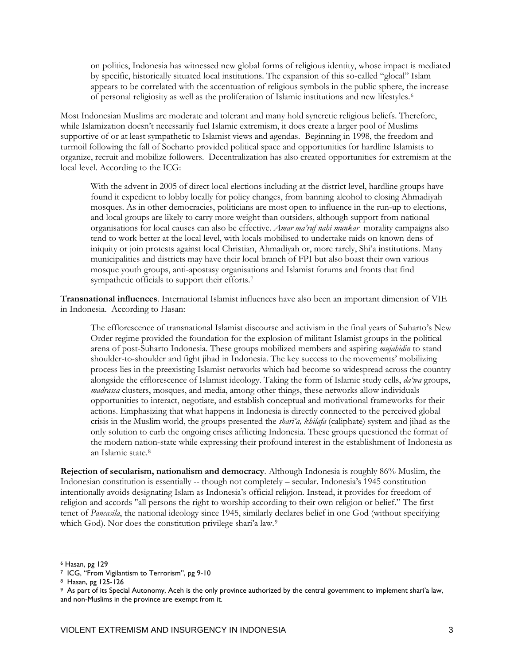on politics, Indonesia has witnessed new global forms of religious identity, whose impact is mediated by specific, historically situated local institutions. The expansion of this so-called "glocal" Islam appears to be correlated with the accentuation of religious symbols in the public sphere, the increase of personal religiosity as well as the proliferation of Islamic institutions and new lifestyles.[6](#page-10-0) 

Most Indonesian Muslims are moderate and tolerant and many hold syncretic religious beliefs. Therefore, while Islamization doesn't necessarily fuel Islamic extremism, it does create a larger pool of Muslims supportive of or at least sympathetic to Islamist views and agendas. Beginning in 1998, the freedom and turmoil following the fall of Soeharto provided political space and opportunities for hardline Islamists to organize, recruit and mobilize followers. Decentralization has also created opportunities for extremism at the local level. According to the ICG:

With the advent in 2005 of direct local elections including at the district level, hardline groups have found it expedient to lobby locally for policy changes, from banning alcohol to closing Ahmadiyah mosques. As in other democracies, politicians are most open to influence in the run-up to elections, and local groups are likely to carry more weight than outsiders, although support from national organisations for local causes can also be effective. *Amar ma'ruf nahi munkar* morality campaigns also tend to work better at the local level, with locals mobilised to undertake raids on known dens of iniquity or join protests against local Christian, Ahmadiyah or, more rarely, Shi'a institutions. Many municipalities and districts may have their local branch of FPI but also boast their own various mosque youth groups, anti-apostasy organisations and Islamist forums and fronts that find sympathetic officials to support their efforts.<sup>7</sup>

**Transnational influences**. International Islamist influences have also been an important dimension of VIE in Indonesia. According to Hasan:

The efflorescence of transnational Islamist discourse and activism in the final years of Suharto's New Order regime provided the foundation for the explosion of militant Islamist groups in the political arena of post-Suharto Indonesia. These groups mobilized members and aspiring *mujahidin* to stand shoulder-to-shoulder and fight jihad in Indonesia. The key success to the movements' mobilizing process lies in the preexisting Islamist networks which had become so widespread across the country alongside the efflorescence of Islamist ideology. Taking the form of Islamic study cells, *da'wa* groups, *madrassa* clusters, mosques, and media, among other things, these networks allow individuals opportunities to interact, negotiate, and establish conceptual and motivational frameworks for their actions. Emphasizing that what happens in Indonesia is directly connected to the perceived global crisis in the Muslim world, the groups presented the *shari'a, khilafa* (caliphate) system and jihad as the only solution to curb the ongoing crises afflicting Indonesia. These groups questioned the format of the modern nation-state while expressing their profound interest in the establishment of Indonesia as an Islamic state[.8](#page-10-2)

**Rejection of secularism, nationalism and democracy**. Although Indonesia is roughly 86% Muslim, the Indonesian constitution is essentially -- though not completely – secular. Indonesia's 1945 constitution intentionally avoids designating Islam as Indonesia's official religion. Instead, it provides for freedom of religion and accords "all persons the right to worship according to their own religion or belief." The first tenet of *Pancasila*, the national ideology since 1945, similarly declares belief in one God (without specifying which God). Nor does the constitution privilege shari'a law.<sup>9</sup>

<span id="page-10-0"></span><sup>6</sup> Hasan, pg 129

<span id="page-10-1"></span><sup>&</sup>lt;sup>7</sup> ICG, "From Vigilantism to Terrorism", pg 9-10<br><sup>8</sup> Hasan, pg 125-126

<span id="page-10-3"></span><span id="page-10-2"></span><sup>&</sup>lt;sup>9</sup> As part of its Special Autonomy, Aceh is the only province authorized by the central government to implement shari'a law, and non-Muslims in the province are exempt from it.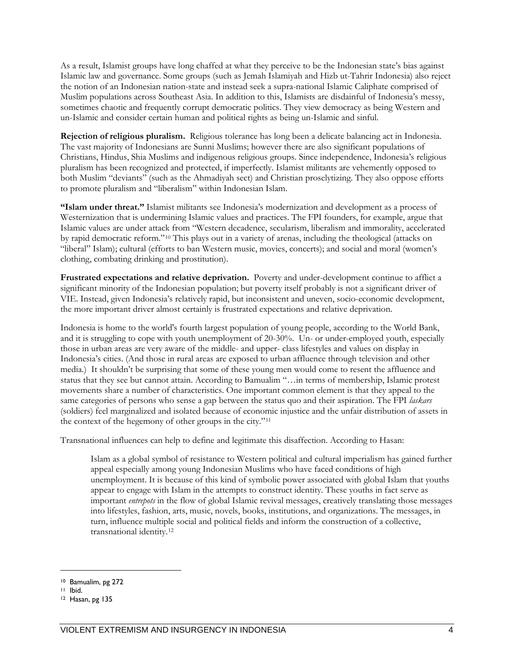As a result, Islamist groups have long chaffed at what they perceive to be the Indonesian state's bias against Islamic law and governance. Some groups (such as Jemah Islamiyah and Hizb ut-Tahrir Indonesia) also reject the notion of an Indonesian nation-state and instead seek a supra-national Islamic Caliphate comprised of Muslim populations across Southeast Asia. In addition to this, Islamists are disdainful of Indonesia's messy, sometimes chaotic and frequently corrupt democratic politics. They view democracy as being Western and un-Islamic and consider certain human and political rights as being un-Islamic and sinful.

**Rejection of religious pluralism.** Religious tolerance has long been a delicate balancing act in Indonesia. The vast majority of Indonesians are Sunni Muslims; however there are also significant populations of Christians, Hindus, Shia Muslims and indigenous religious groups. Since independence, Indonesia's religious pluralism has been recognized and protected, if imperfectly. Islamist militants are vehemently opposed to both Muslim "deviants" (such as the Ahmadiyah sect) and Christian proselytizing. They also oppose efforts to promote pluralism and "liberalism" within Indonesian Islam.

**"Islam under threat."** Islamist militants see Indonesia's modernization and development as a process of Westernization that is undermining Islamic values and practices. The FPI founders, for example, argue that Islamic values are under attack from "Western decadence, secularism, liberalism and immorality, accelerated by rapid democratic reform."[10](#page-11-0) This plays out in a variety of arenas, including the theological (attacks on "liberal" Islam); cultural (efforts to ban Western music, movies, concerts); and social and moral (women's clothing, combating drinking and prostitution).

**Frustrated expectations and relative deprivation.** Poverty and under-development continue to afflict a significant minority of the Indonesian population; but poverty itself probably is not a significant driver of VIE. Instead, given Indonesia's relatively rapid, but inconsistent and uneven, socio-economic development, the more important driver almost certainly is frustrated expectations and relative deprivation.

Indonesia is home to the world's fourth largest population of young people, according to the World Bank, and it is struggling to cope with youth unemployment of 20-30%. Un- or under-employed youth, especially those in urban areas are very aware of the middle- and upper- class lifestyles and values on display in Indonesia's cities. (And those in rural areas are exposed to urban affluence through television and other media.) It shouldn't be surprising that some of these young men would come to resent the affluence and status that they see but cannot attain. According to Bamualim "…in terms of membership, Islamic protest movements share a number of characteristics. One important common element is that they appeal to the same categories of persons who sense a gap between the status quo and their aspiration. The FPI *laskars* (soldiers) feel marginalized and isolated because of economic injustice and the unfair distribution of assets in the context of the hegemony of other groups in the city."[11](#page-11-1)

Transnational influences can help to define and legitimate this disaffection. According to Hasan:

Islam as a global symbol of resistance to Western political and cultural imperialism has gained further appeal especially among young Indonesian Muslims who have faced conditions of high unemployment. It is because of this kind of symbolic power associated with global Islam that youths appear to engage with Islam in the attempts to construct identity. These youths in fact serve as important *entrepots* in the flow of global Islamic revival messages, creatively translating those messages into lifestyles, fashion, arts, music, novels, books, institutions, and organizations. The messages, in turn, influence multiple social and political fields and inform the construction of a collective, transnational identity.[12](#page-11-2)

<span id="page-11-0"></span><sup>10</sup> Bamualim, pg 272

<span id="page-11-1"></span><sup>11</sup> Ibid.

<span id="page-11-2"></span><sup>12</sup> Hasan, pg 135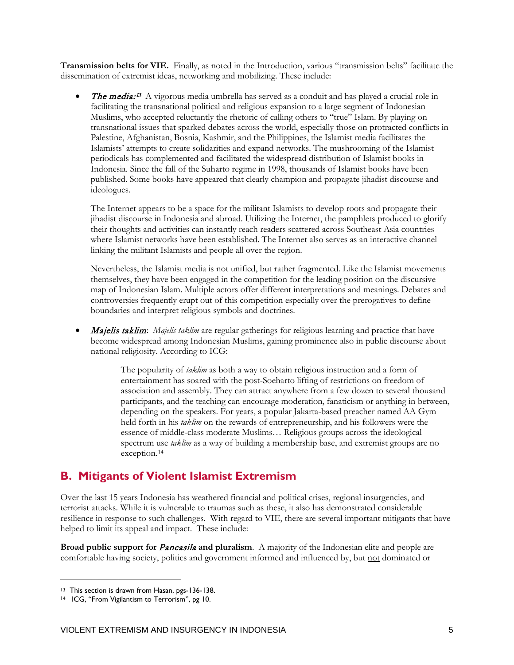**Transmission belts for VIE.** Finally, as noted in the Introduction, various "transmission belts" facilitate the dissemination of extremist ideas, networking and mobilizing. These include:

• The media:<sup>[13](#page-12-1)</sup> A vigorous media umbrella has served as a conduit and has played a crucial role in facilitating the transnational political and religious expansion to a large segment of Indonesian Muslims, who accepted reluctantly the rhetoric of calling others to "true" Islam. By playing on transnational issues that sparked debates across the world, especially those on protracted conflicts in Palestine, Afghanistan, Bosnia, Kashmir, and the Philippines, the Islamist media facilitates the Islamists' attempts to create solidarities and expand networks. The mushrooming of the Islamist periodicals has complemented and facilitated the widespread distribution of Islamist books in Indonesia. Since the fall of the Suharto regime in 1998, thousands of Islamist books have been published. Some books have appeared that clearly champion and propagate jihadist discourse and ideologues.

The Internet appears to be a space for the militant Islamists to develop roots and propagate their jihadist discourse in Indonesia and abroad. Utilizing the Internet, the pamphlets produced to glorify their thoughts and activities can instantly reach readers scattered across Southeast Asia countries where Islamist networks have been established. The Internet also serves as an interactive channel linking the militant Islamists and people all over the region.

Nevertheless, the Islamist media is not unified, but rather fragmented. Like the Islamist movements themselves, they have been engaged in the competition for the leading position on the discursive map of Indonesian Islam. Multiple actors offer different interpretations and meanings. Debates and controversies frequently erupt out of this competition especially over the prerogatives to define boundaries and interpret religious symbols and doctrines.

• Majelis taklim: *Majelis taklim* are regular gatherings for religious learning and practice that have become widespread among Indonesian Muslims, gaining prominence also in public discourse about national religiosity. According to ICG:

> The popularity of *taklim* as both a way to obtain religious instruction and a form of entertainment has soared with the post-Soeharto lifting of restrictions on freedom of association and assembly. They can attract anywhere from a few dozen to several thousand participants, and the teaching can encourage moderation, fanaticism or anything in between, depending on the speakers. For years, a popular Jakarta-based preacher named AA Gym held forth in his *taklim* on the rewards of entrepreneurship, and his followers were the essence of middle-class moderate Muslims… Religious groups across the ideological spectrum use *taklim* as a way of building a membership base, and extremist groups are no exception.[14](#page-12-2)

#### <span id="page-12-0"></span>**B. Mitigants of Violent Islamist Extremism**

Over the last 15 years Indonesia has weathered financial and political crises, regional insurgencies, and terrorist attacks. While it is vulnerable to traumas such as these, it also has demonstrated considerable resilience in response to such challenges. With regard to VIE, there are several important mitigants that have helped to limit its appeal and impact. These include:

**Broad public support for** Pancasila **and pluralism**. A majority of the Indonesian elite and people are comfortable having society, politics and government informed and influenced by, but not dominated or

<span id="page-12-1"></span><sup>&</sup>lt;sup>13</sup> This section is drawn from Hasan, pgs-136-138.<br><sup>14</sup> ICG, "From Vigilantism to Terrorism", pg 10.

<span id="page-12-2"></span>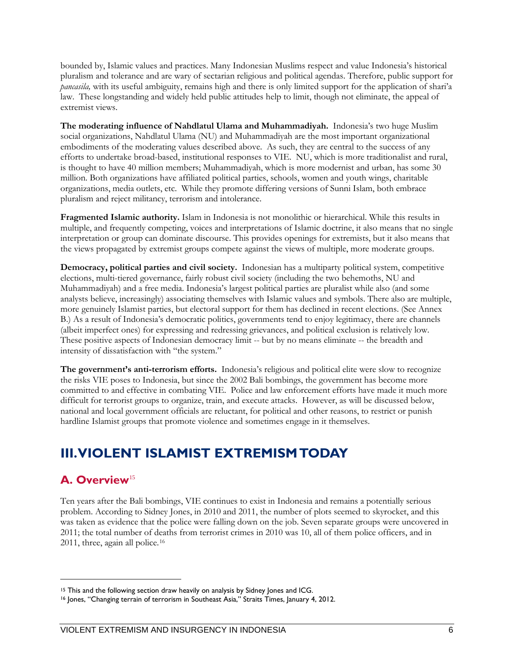bounded by, Islamic values and practices. Many Indonesian Muslims respect and value Indonesia's historical pluralism and tolerance and are wary of sectarian religious and political agendas. Therefore, public support for *pancasila,* with its useful ambiguity, remains high and there is only limited support for the application of shari'a law. These longstanding and widely held public attitudes help to limit, though not eliminate, the appeal of extremist views.

**The moderating influence of Nahdlatul Ulama and Muhammadiyah.** Indonesia's two huge Muslim social organizations, Nahdlatul Ulama (NU) and Muhammadiyah are the most important organizational embodiments of the moderating values described above. As such, they are central to the success of any efforts to undertake broad-based, institutional responses to VIE. NU, which is more traditionalist and rural, is thought to have 40 million members; Muhammadiyah, which is more modernist and urban, has some 30 million. Both organizations have affiliated political parties, schools, women and youth wings, charitable organizations, media outlets, etc. While they promote differing versions of Sunni Islam, both embrace pluralism and reject militancy, terrorism and intolerance.

**Fragmented Islamic authority.** Islam in Indonesia is not monolithic or hierarchical. While this results in multiple, and frequently competing, voices and interpretations of Islamic doctrine, it also means that no single interpretation or group can dominate discourse. This provides openings for extremists, but it also means that the views propagated by extremist groups compete against the views of multiple, more moderate groups.

**Democracy, political parties and civil society.** Indonesian has a multiparty political system, competitive elections, multi-tiered governance, fairly robust civil society (including the two behemoths, NU and Muhammadiyah) and a free media. Indonesia's largest political parties are pluralist while also (and some analysts believe, increasingly) associating themselves with Islamic values and symbols. There also are multiple, more genuinely Islamist parties, but electoral support for them has declined in recent elections. (See Annex B.) As a result of Indonesia's democratic politics, governments tend to enjoy legitimacy, there are channels (albeit imperfect ones) for expressing and redressing grievances, and political exclusion is relatively low. These positive aspects of Indonesian democracy limit -- but by no means eliminate -- the breadth and intensity of dissatisfaction with "the system."

**The government's anti-terrorism efforts.** Indonesia's religious and political elite were slow to recognize the risks VIE poses to Indonesia, but since the 2002 Bali bombings, the government has become more committed to and effective in combating VIE. Police and law enforcement efforts have made it much more difficult for terrorist groups to organize, train, and execute attacks. However, as will be discussed below, national and local government officials are reluctant, for political and other reasons, to restrict or punish hardline Islamist groups that promote violence and sometimes engage in it themselves.

#### <span id="page-13-0"></span>**III. VIOLENT ISLAMIST EXTREMISMTODAY**

#### <span id="page-13-1"></span>**A. Overview**[15](#page-13-2)

 $\overline{a}$ 

Ten years after the Bali bombings, VIE continues to exist in Indonesia and remains a potentially serious problem. According to Sidney Jones, in 2010 and 2011, the number of plots seemed to skyrocket, and this was taken as evidence that the police were falling down on the job. Seven separate groups were uncovered in 2011; the total number of deaths from terrorist crimes in 2010 was 10, all of them police officers, and in 2011, three, again all police.[16](#page-13-3)

<span id="page-13-3"></span><span id="page-13-2"></span><sup>&</sup>lt;sup>15</sup> This and the following section draw heavily on analysis by Sidney Jones and ICG.<br><sup>16</sup> Jones, "Changing terrain of terrorism in Southeast Asia," Straits Times, January 4, 2012.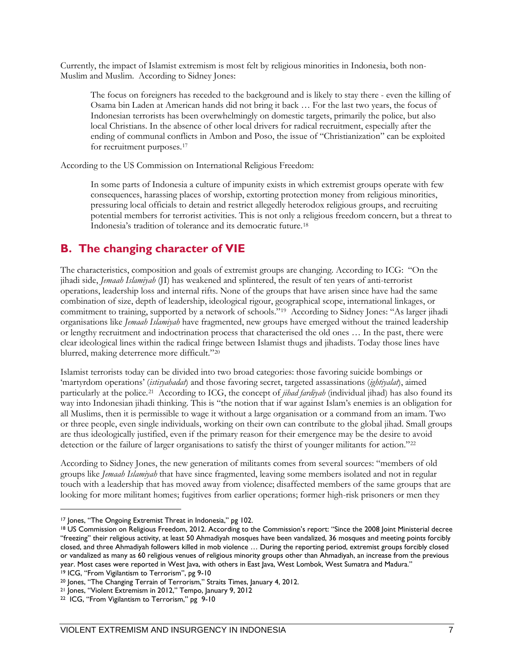Currently, the impact of Islamist extremism is most felt by religious minorities in Indonesia, both non-Muslim and Muslim. According to Sidney Jones:

The focus on foreigners has receded to the background and is likely to stay there - even the killing of Osama bin Laden at American hands did not bring it back … For the last two years, the focus of Indonesian terrorists has been overwhelmingly on domestic targets, primarily the police, but also local Christians. In the absence of other local drivers for radical recruitment, especially after the ending of communal conflicts in Ambon and Poso, the issue of "Christianization" can be exploited for recruitment purposes.[17](#page-14-1) 

According to the US Commission on International Religious Freedom:

In some parts of Indonesia a culture of impunity exists in which extremist groups operate with few consequences, harassing places of worship, extorting protection money from religious minorities, pressuring local officials to detain and restrict allegedly heterodox religious groups, and recruiting potential members for terrorist activities. This is not only a religious freedom concern, but a threat to Indonesia's tradition of tolerance and its democratic future.[18](#page-14-2) 

#### <span id="page-14-0"></span>**B. The changing character of VIE**

The characteristics, composition and goals of extremist groups are changing. According to ICG: "On the jihadi side, *Jemaah Islamiyah* (JI) has weakened and splintered, the result of ten years of anti-terrorist operations, leadership loss and internal rifts. None of the groups that have arisen since have had the same combination of size, depth of leadership, ideological rigour, geographical scope, international linkages, or commitment to training, supported by a network of schools."[19](#page-14-3) According to Sidney Jones: "As larger jihadi organisations like *Jemaah Islamiyah* have fragmented, new groups have emerged without the trained leadership or lengthy recruitment and indoctrination process that characterised the old ones … In the past, there were clear ideological lines within the radical fringe between Islamist thugs and jihadists. Today those lines have blurred, making deterrence more difficult."[20](#page-14-4)

Islamist terrorists today can be divided into two broad categories: those favoring suicide bombings or 'martyrdom operations' (*istisyahadat*) and those favoring secret, targeted assassinations (*ightiyalat*), aimed particularly at the police.[21](#page-14-5) According to ICG, the concept of *jihad fardiyah* (individual jihad) has also found its way into Indonesian jihadi thinking. This is "the notion that if war against Islam's enemies is an obligation for all Muslims, then it is permissible to wage it without a large organisation or a command from an imam. Two or three people, even single individuals, working on their own can contribute to the global jihad. Small groups are thus ideologically justified, even if the primary reason for their emergence may be the desire to avoid detection or the failure of larger organisations to satisfy the thirst of younger militants for action."[22](#page-14-6)

According to Sidney Jones, the new generation of militants comes from several sources: "members of old groups like *Jemaah Islamiyah* that have since fragmented, leaving some members isolated and not in regular touch with a leadership that has moved away from violence; disaffected members of the same groups that are looking for more militant homes; fugitives from earlier operations; former high-risk prisoners or men they

<span id="page-14-2"></span><span id="page-14-1"></span><sup>&</sup>lt;sup>17</sup> Jones, "The Ongoing Extremist Threat in Indonesia," pg 102.<br><sup>18</sup> US Commission on Religious Freedom, 2012. According to the Commission's report: "Since the 2008 Joint Ministerial decree "freezing" their religious activity, at least 50 Ahmadiyah mosques have been vandalized, 36 mosques and meeting points forcibly closed, and three Ahmadiyah followers killed in mob violence … During the reporting period, extremist groups forcibly closed or vandalized as many as 60 religious venues of religious minority groups other than Ahmadiyah, an increase from the previous year. Most cases were reported in West Java, with others in East Java, West Lombok, West Sumatra and Madura." <sup>19</sup> ICG, "From Vigilantism to Terrorism", pg 9-10

<span id="page-14-4"></span><span id="page-14-3"></span><sup>20</sup> Jones, "The Changing Terrain of Terrorism," Straits Times, January 4, 2012.

<span id="page-14-5"></span><sup>21</sup> Jones, "Violent Extremism in 2012," Tempo, January 9, 2012

<span id="page-14-6"></span><sup>22</sup> ICG, "From Vigilantism to Terrorism," pg 9-10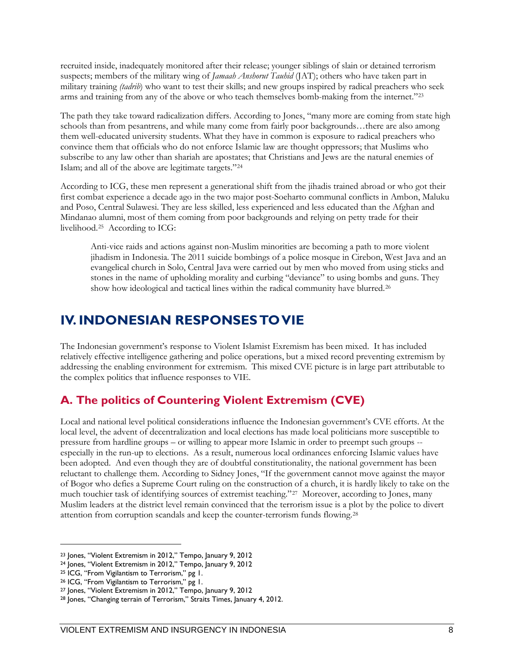recruited inside, inadequately monitored after their release; younger siblings of slain or detained terrorism suspects; members of the military wing of *Jamaah Anshorut Tauhid* (JAT); others who have taken part in military training *(tadrib*) who want to test their skills; and new groups inspired by radical preachers who seek arms and training from any of the above or who teach themselves bomb-making from the internet.["23](#page-15-2)

The path they take toward radicalization differs. According to Jones, "many more are coming from state high schools than from pesantrens, and while many come from fairly poor backgrounds…there are also among them well-educated university students. What they have in common is exposure to radical preachers who convince them that officials who do not enforce Islamic law are thought oppressors; that Muslims who subscribe to any law other than shariah are apostates; that Christians and Jews are the natural enemies of Islam; and all of the above are legitimate targets."[24](#page-15-3)

According to ICG, these men represent a generational shift from the jihadis trained abroad or who got their first combat experience a decade ago in the two major post-Soeharto communal conflicts in Ambon, Maluku and Poso, Central Sulawesi. They are less skilled, less experienced and less educated than the Afghan and Mindanao alumni, most of them coming from poor backgrounds and relying on petty trade for their livelihood.[25](#page-15-4) According to ICG:

Anti-vice raids and actions against non-Muslim minorities are becoming a path to more violent jihadism in Indonesia. The 2011 suicide bombings of a police mosque in Cirebon, West Java and an evangelical church in Solo, Central Java were carried out by men who moved from using sticks and stones in the name of upholding morality and curbing "deviance" to using bombs and guns. They show how ideological and tactical lines within the radical community have blurred.<sup>[26](#page-15-5)</sup>

#### <span id="page-15-0"></span>**IV. INDONESIAN RESPONSES TO VIE**

The Indonesian government's response to Violent Islamist Exremism has been mixed. It has included relatively effective intelligence gathering and police operations, but a mixed record preventing extremism by addressing the enabling environment for extremism. This mixed CVE picture is in large part attributable to the complex politics that influence responses to VIE.

#### <span id="page-15-1"></span>**A. The politics of Countering Violent Extremism (CVE)**

Local and national level political considerations influence the Indonesian government's CVE efforts. At the local level, the advent of decentralization and local elections has made local politicians more susceptible to pressure from hardline groups – or willing to appear more Islamic in order to preempt such groups - especially in the run-up to elections. As a result, numerous local ordinances enforcing Islamic values have been adopted. And even though they are of doubtful constitutionality, the national government has been reluctant to challenge them. According to Sidney Jones, "If the government cannot move against the mayor of Bogor who defies a Supreme Court ruling on the construction of a church, it is hardly likely to take on the much touchier task of identifying sources of extremist teaching."[27](#page-15-6) Moreover, according to Jones, many Muslim leaders at the district level remain convinced that the terrorism issue is a plot by the police to divert attention from corruption scandals and keep the counter-terrorism funds flowing.[28](#page-15-7) 

<span id="page-15-2"></span><sup>23</sup> Jones, "Violent Extremism in 2012," Tempo, January 9, 2012

<span id="page-15-3"></span><sup>24</sup> Jones, "Violent Extremism in 2012," Tempo, January 9, 2012

<span id="page-15-4"></span><sup>25</sup> ICG, "From Vigilantism to Terrorism," pg 1.

<span id="page-15-5"></span><sup>26</sup> ICG, "From Vigilantism to Terrorism," pg 1.

<span id="page-15-6"></span><sup>27</sup> Jones, "Violent Extremism in 2012," Tempo, January 9, 2012

<span id="page-15-7"></span><sup>&</sup>lt;sup>28</sup> Jones, "Changing terrain of Terrorism," Straits Times, January 4, 2012.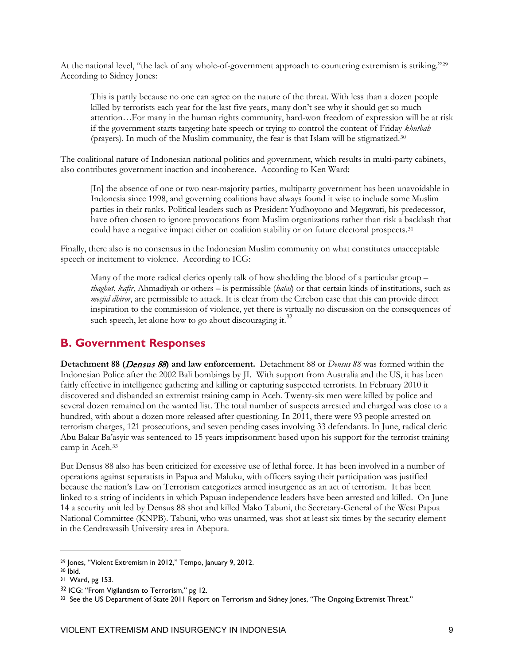At the national level, "the lack of any whole-of-government approach to countering extremism is striking."[29](#page-16-1) According to Sidney Jones:

This is partly because no one can agree on the nature of the threat. With less than a dozen people killed by terrorists each year for the last five years, many don't see why it should get so much attention…For many in the human rights community, hard-won freedom of expression will be at risk if the government starts targeting hate speech or trying to control the content of Friday *khutbah*  (prayers). In much of the Muslim community, the fear is that Islam will be stigmatized.[30](#page-16-2)

The coalitional nature of Indonesian national politics and government, which results in multi-party cabinets, also contributes government inaction and incoherence. According to Ken Ward:

[In] the absence of one or two near-majority parties, multiparty government has been unavoidable in Indonesia since 1998, and governing coalitions have always found it wise to include some Muslim parties in their ranks. Political leaders such as President Yudhoyono and Megawati, his predecessor, have often chosen to ignore provocations from Muslim organizations rather than risk a backlash that could have a negative impact either on coalition stability or on future electoral prospects.[31](#page-16-3)

Finally, there also is no consensus in the Indonesian Muslim community on what constitutes unacceptable speech or incitement to violence. According to ICG:

Many of the more radical clerics openly talk of how shedding the blood of a particular group – *thaghut*, *kafir*, Ahmadiyah or others – is permissible (*halal*) or that certain kinds of institutions, such as *mesjid dhiror*, are permissible to attack. It is clear from the Cirebon case that this can provide direct inspiration to the commission of violence, yet there is virtually no discussion on the consequences of such speech, let alone how to go about discouraging it.<sup>[32](#page-16-4)</sup>

#### <span id="page-16-0"></span>**B. Government Responses**

**Detachment 88 (**Densus 88**) and law enforcement.** Detachment 88 or *Densus 88* was formed within the Indonesian Police after the 2002 Bali bombings by JI. With support from Australia and the US, it has been fairly effective in intelligence gathering and killing or capturing suspected terrorists. In February 2010 it discovered and disbanded an extremist training camp in Aceh. Twenty-six men were killed by police and several dozen remained on the wanted list. The total number of suspects arrested and charged was close to a hundred, with about a dozen more released after questioning. In 2011, there were 93 people arrested on terrorism charges, 121 prosecutions, and seven pending cases involving 33 defendants. In June, radical cleric Abu Bakar Ba'asyir was sentenced to 15 years imprisonment based upon his support for the terrorist training camp in Aceh.[33](#page-16-5)

But Densus 88 also has been criticized for excessive use of lethal force. It has been involved in a number of operations against separatists in Papua and Maluku, with officers saying their participation was justified because the nation's Law on Terrorism categorizes armed insurgence as an act of terrorism. It has been linked to a string of incidents in which Papuan independence leaders have been arrested and killed. On June 14 a security unit led by Densus 88 shot and killed Mako Tabuni, the Secretary-General of the West Papua National Committee (KNPB). Tabuni, who was unarmed, was shot at least six times by the security element in the Cendrawasih University area in Abepura.

<span id="page-16-1"></span><sup>29</sup> Jones, "Violent Extremism in 2012," Tempo, January 9, 2012.

<span id="page-16-2"></span> $30$  Ibid.

<span id="page-16-3"></span><sup>31</sup> Ward, pg 153.

<span id="page-16-5"></span><span id="page-16-4"></span> $32$  ICG: "From Vigilantism to Terrorism," pg 12.<br> $33$  See the US Department of State 2011 Report on Terrorism and Sidney Jones, "The Ongoing Extremist Threat."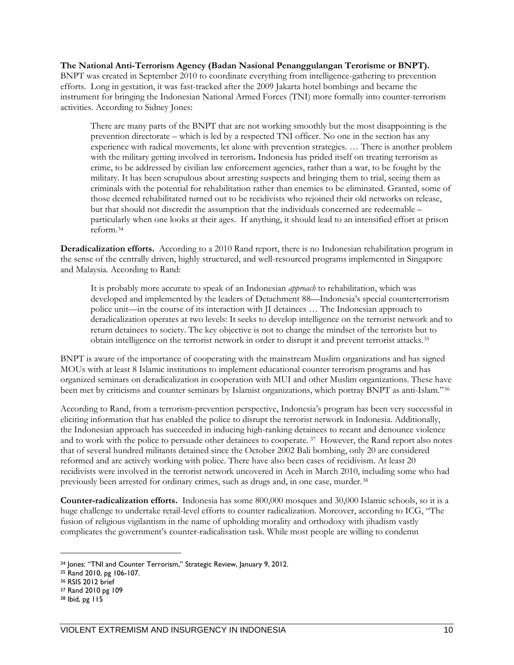**The National Anti-Terrorism Agency (Badan Nasional Penanggulangan Terorisme or BNPT).**  BNPT was created in September 2010 to coordinate everything from intelligence-gathering to prevention efforts. Long in gestation, it was fast-tracked after the 2009 Jakarta hotel bombings and became the instrument for bringing the Indonesian National Armed Forces (TNI) more formally into counter-terrorism activities. According to Sidney Jones:

There are many parts of the BNPT that are not working smoothly but the most disappointing is the prevention directorate – which is led by a respected TNI officer. No one in the section has any experience with radical movements, let alone with prevention strategies. … There is another problem with the military getting involved in terrorism**.** Indonesia has prided itself on treating terrorism as crime, to be addressed by civilian law enforcement agencies, rather than a war, to be fought by the military. It has been scrupulous about arresting suspects and bringing them to trial, seeing them as criminals with the potential for rehabilitation rather than enemies to be eliminated. Granted, some of those deemed rehabilitated turned out to be recidivists who rejoined their old networks on release, but that should not discredit the assumption that the individuals concerned are redeemable – particularly when one looks at their ages. If anything, it should lead to an intensified effort at prison reform.[34](#page-17-0)

**Deradicalization efforts.** According to a 2010 Rand report, there is no Indonesian rehabilitation program in the sense of the centrally driven, highly structured, and well-resourced programs implemented in Singapore and Malaysia. According to Rand:

It is probably more accurate to speak of an Indonesian *approach* to rehabilitation, which was developed and implemented by the leaders of Detachment 88—Indonesia's special counterterrorism police unit—in the course of its interaction with JI detainees … The Indonesian approach to deradicalization operates at two levels: It seeks to develop intelligence on the terrorist network and to return detainees to society. The key objective is not to change the mindset of the terrorists but to obtain intelligence on the terrorist network in order to disrupt it and prevent terrorist attacks.[35](#page-17-1)

BNPT is aware of the importance of cooperating with the mainstream Muslim organizations and has signed MOUs with at least 8 Islamic institutions to implement educational counter terrorism programs and has organized seminars on deradicalization in cooperation with MUI and other Muslim organizations. These have been met by criticisms and counter seminars by Islamist organizations, which portray BNPT as anti-Islam."[36](#page-17-2) 

According to Rand, from a terrorism-prevention perspective, Indonesia's program has been very successful in eliciting information that has enabled the police to disrupt the terrorist network in Indonesia. Additionally, the Indonesian approach has succeeded in inducing high-ranking detainees to recant and denounce violence and to work with the police to persuade other detainees to cooperate. [37](#page-17-3) However, the Rand report also notes that of several hundred militants detained since the October 2002 Bali bombing, only 20 are considered reformed and are actively working with police. There have also been cases of recidivism. At least 20 recidivists were involved in the terrorist network uncovered in Aceh in March 2010, including some who had previously been arrested for ordinary crimes, such as drugs and, in one case, murder.<sup>[38](#page-17-4)</sup>

**Counter-radicalization efforts.** Indonesia has some 800,000 mosques and 30,000 Islamic schools, so it is a huge challenge to undertake retail-level efforts to counter radicalization. Moreover, according to ICG, "The fusion of religious vigilantism in the name of upholding morality and orthodoxy with jihadism vastly complicates the government's counter-radicalisation task. While most people are willing to condemn

<span id="page-17-0"></span><sup>34</sup> Jones: "TNI and Counter Terrorism," Strategic Review, January 9, 2012.

<span id="page-17-1"></span><sup>35</sup> Rand 2010, pg 106-107.<br>36 RSIS 2012 brief

<span id="page-17-2"></span>

<span id="page-17-3"></span><sup>37</sup> Rand 2010 pg 109

<span id="page-17-4"></span><sup>38</sup> Ibid, pg 115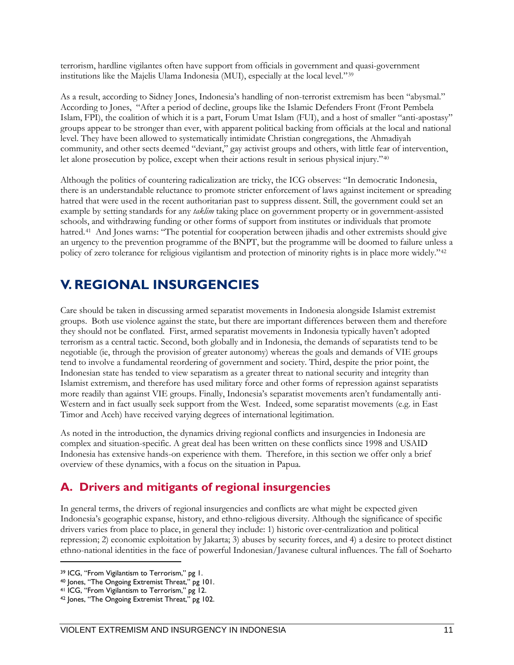terrorism, hardline vigilantes often have support from officials in government and quasi-government institutions like the Majelis Ulama Indonesia (MUI), especially at the local level."[39](#page-18-2)

As a result, according to Sidney Jones, Indonesia's handling of non-terrorist extremism has been "abysmal." According to Jones, "After a period of decline, groups like the Islamic Defenders Front (Front Pembela Islam, FPI), the coalition of which it is a part, Forum Umat Islam (FUI), and a host of smaller "anti-apostasy" groups appear to be stronger than ever, with apparent political backing from officials at the local and national level. They have been allowed to systematically intimidate Christian congregations, the Ahmadiyah community, and other sects deemed "deviant," gay activist groups and others, with little fear of intervention, let alone prosecution by police, except when their actions result in serious physical injury."[40](#page-18-3)

Although the politics of countering radicalization are tricky, the ICG observes: "In democratic Indonesia, there is an understandable reluctance to promote stricter enforcement of laws against incitement or spreading hatred that were used in the recent authoritarian past to suppress dissent. Still, the government could set an example by setting standards for any *taklim* taking place on government property or in government-assisted schools, and withdrawing funding or other forms of support from institutes or individuals that promote hatred.[41](#page-18-4) And Jones warns: "The potential for cooperation between jihadis and other extremists should give an urgency to the prevention programme of the BNPT, but the programme will be doomed to failure unless a policy of zero tolerance for religious vigilantism and protection of minority rights is in place more widely."[42](#page-18-5)

#### <span id="page-18-0"></span>**V. REGIONAL INSURGENCIES**

Care should be taken in discussing armed separatist movements in Indonesia alongside Islamist extremist groups. Both use violence against the state, but there are important differences between them and therefore they should not be conflated. First, armed separatist movements in Indonesia typically haven't adopted terrorism as a central tactic. Second, both globally and in Indonesia, the demands of separatists tend to be negotiable (ie, through the provision of greater autonomy) whereas the goals and demands of VIE groups tend to involve a fundamental reordering of government and society. Third, despite the prior point, the Indonesian state has tended to view separatism as a greater threat to national security and integrity than Islamist extremism, and therefore has used military force and other forms of repression against separatists more readily than against VIE groups. Finally, Indonesia's separatist movements aren't fundamentally anti-Western and in fact usually seek support from the West. Indeed, some separatist movements (e.g. in East Timor and Aceh) have received varying degrees of international legitimation.

As noted in the introduction, the dynamics driving regional conflicts and insurgencies in Indonesia are complex and situation-specific. A great deal has been written on these conflicts since 1998 and USAID Indonesia has extensive hands-on experience with them. Therefore, in this section we offer only a brief overview of these dynamics, with a focus on the situation in Papua.

#### <span id="page-18-1"></span>**A. Drivers and mitigants of regional insurgencies**

In general terms, the drivers of regional insurgencies and conflicts are what might be expected given Indonesia's geographic expanse, history, and ethno-religious diversity. Although the significance of specific drivers varies from place to place, in general they include: 1) historic over-centralization and political repression; 2) economic exploitation by Jakarta; 3) abuses by security forces, and 4) a desire to protect distinct ethno-national identities in the face of powerful Indonesian/Javanese cultural influences. The fall of Soeharto

<span id="page-18-2"></span><sup>39</sup> ICG, "From Vigilantism to Terrorism," pg 1.

<span id="page-18-3"></span><sup>40</sup> Jones, "The Ongoing Extremist Threat," pg 101.

<span id="page-18-4"></span><sup>41</sup> ICG, "From Vigilantism to Terrorism," pg 12.

<span id="page-18-5"></span><sup>42</sup> Jones, "The Ongoing Extremist Threat," pg 102.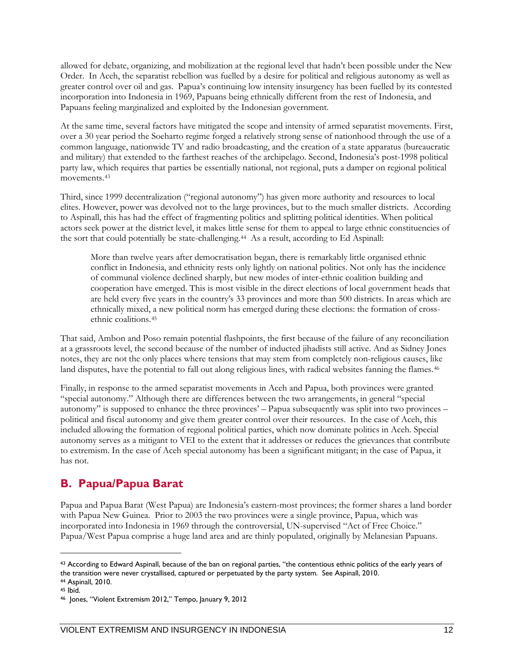allowed for debate, organizing, and mobilization at the regional level that hadn't been possible under the New Order. In Aceh, the separatist rebellion was fuelled by a desire for political and religious autonomy as well as greater control over oil and gas. Papua's continuing low intensity insurgency has been fuelled by its contested incorporation into Indonesia in 1969, Papuans being ethnically different from the rest of Indonesia, and Papuans feeling marginalized and exploited by the Indonesian government.

At the same time, several factors have mitigated the scope and intensity of armed separatist movements. First, over a 30 year period the Soeharto regime forged a relatively strong sense of nationhood through the use of a common language, nationwide TV and radio broadcasting, and the creation of a state apparatus (bureaucratic and military) that extended to the farthest reaches of the archipelago. Second, Indonesia's post-1998 political party law, which requires that parties be essentially national, not regional, puts a damper on regional political movements.<sup>[43](#page-19-2)</sup>

Third, since 1999 decentralization ("regional autonomy") has given more authority and resources to local elites. However, power was devolved not to the large provinces, but to the much smaller districts. According to Aspinall, this has had the effect of fragmenting politics and splitting political identities. When political actors seek power at the district level, it makes little sense for them to appeal to large ethnic constituencies of the sort that could potentially be state-challenging.[44](#page-19-3) As a result, according to Ed Aspinall:

More than twelve years after democratisation began, there is remarkably little organised ethnic conflict in Indonesia, and ethnicity rests only lightly on national politics. Not only has the incidence of communal violence declined sharply, but new modes of inter-ethnic coalition building and cooperation have emerged. This is most visible in the direct elections of local government heads that are held every five years in the country's 33 provinces and more than 500 districts. In areas which are ethnically mixed, a new political norm has emerged during these elections: the formation of crossethnic coalitions.[45](#page-19-4) 

That said, Ambon and Poso remain potential flashpoints, the first because of the failure of any reconciliation at a grassroots level, the second because of the number of inducted jihadists still active. And as Sidney Jones notes, they are not the only places where tensions that may stem from completely non-religious causes, like land disputes, have the potential to fall out along religious lines, with radical websites fanning the flames.<sup>[46](#page-19-5)</sup>

Finally, in response to the armed separatist movements in Aceh and Papua, both provinces were granted "special autonomy." Although there are differences between the two arrangements, in general "special autonomy" is supposed to enhance the three provinces' – Papua subsequently was split into two provinces – political and fiscal autonomy and give them greater control over their resources. In the case of Aceh, this included allowing the formation of regional political parties, which now dominate politics in Aceh. Special autonomy serves as a mitigant to VEI to the extent that it addresses or reduces the grievances that contribute to extremism. In the case of Aceh special autonomy has been a significant mitigant; in the case of Papua, it has not.

#### <span id="page-19-0"></span>**B. Papua/Papua Barat**

<span id="page-19-1"></span>Papua and Papua Barat (West Papua) are Indonesia's eastern-most provinces; the former shares a land border with Papua New Guinea. Prior to 2003 the two provinces were a single province, Papua, which was incorporated into Indonesia in 1969 through the controversial, UN-supervised "Act of Free Choice." Papua/West Papua comprise a huge land area and are thinly populated, originally by Melanesian Papuans.

<span id="page-19-2"></span><sup>43</sup> According to Edward Aspinall, because of the ban on regional parties, "the contentious ethnic politics of the early years of the transition were never crystallised, captured or perpetuated by the party system. See Aspinall, 2010. <sup>44</sup> Aspinall, 2010.

<span id="page-19-4"></span><span id="page-19-3"></span><sup>45</sup> Ibid.

<span id="page-19-5"></span><sup>46</sup> Jones, "Violent Extremism 2012," Tempo, January 9, 2012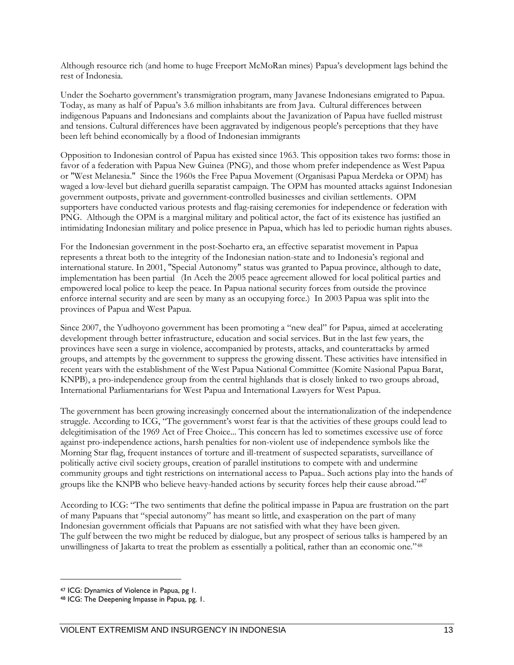Although resource rich (and home to huge Freeport McMoRan mines) Papua's development lags behind the rest of Indonesia.

Under the Soeharto government's transmigration program, many Javanese Indonesians emigrated to Papua. Today, as many as half of Papua's 3.6 million inhabitants are fro[m Java.](http://en.wikipedia.org/wiki/Java) Cultural differences between indigenous Papuans and Indonesians and complaints about the Javanization of Papua have fuelled mistrust and tensions. Cultural differences have been aggravated by indigenous people's perceptions that they have been left behind economically by a flood of Indonesian immigrants

Opposition to Indonesian control of Papua has existed since 1963. This opposition takes two forms: those in favor of a federation with Papua New Guinea (PNG), and those whom prefer independence as West Papua or "West Melanesia." Since the 1960s the Free Papua Movement (Organisasi Papua Merdeka or OPM) has waged a low-level but diehard guerilla separatist campaign. The OPM has mounted attacks against Indonesian government outposts, private and government-controlled businesses and civilian settlements. OPM supporters have conducted various protests and flag-raising ceremonies for [independence](http://en.wikipedia.org/wiki/Republic_of_West_Papua) or federation with [PNG.](http://en.wikipedia.org/wiki/Papua_New_Guinea) Although the OPM is a marginal military and political actor, the fact of its existence has justified an intimidating Indonesian military and police presence in Papua, which has led to periodic human rights abuses.

For the Indonesian government in the post-Soeharto era, an effective separatist movement in Papua represents a threat both to the integrity of the Indonesian nation-state and to Indonesia's regional and international stature. In 2001, "Special Autonomy" status was granted to Papua province, although to date, implementation has been partial (In Aceh the 2005 peace agreement allowed for local political parties and empowered local police to keep the peace. In Papua national security forces from outside the province enforce internal security and are seen by many as an occupying force.) In 2003 Papua was split into the provinces of [Papua](http://en.wikipedia.org/wiki/Papua,_Indonesia) and [West Papua.](http://en.wikipedia.org/wiki/West_Papua_(province))

Since 2007, the Yudhoyono government has been promoting a "new deal" for Papua, aimed at accelerating development through better infrastructure, education and social services. But in the last few years, the provinces have seen a surge in violence, accompanied by protests, attacks, and counterattacks by armed groups, and attempts by the government to suppress the growing dissent. These activities have intensified in recent years with the establishment of the West Papua National Committee (Komite Nasional Papua Barat, KNPB), a pro-independence group from the central highlands that is closely linked to two groups abroad, International Parliamentarians for West Papua and International Lawyers for West Papua.

The government has been growing increasingly concerned about the internationalization of the independence struggle. According to ICG, "The government's worst fear is that the activities of these groups could lead to delegitimisation of the 1969 Act of Free Choice... This concern has led to sometimes excessive use of force against pro-independence actions, harsh penalties for non-violent use of independence symbols like the Morning Star flag, frequent instances of torture and ill-treatment of suspected separatists, surveillance of politically active civil society groups, creation of parallel institutions to compete with and undermine community groups and tight restrictions on international access to Papua.. Such actions play into the hands of groups like the KNPB who believe heavy-handed actions by security forces help their cause abroad."<sup>[47](#page-20-0)</sup>

According to ICG: "The two sentiments that define the political impasse in Papua are frustration on the part of many Papuans that "special autonomy" has meant so little, and exasperation on the part of many Indonesian government officials that Papuans are not satisfied with what they have been given. The gulf between the two might be reduced by dialogue, but any prospect of serious talks is hampered by an unwillingness of Jakarta to treat the problem as essentially a political, rather than an economic one."[48](#page-20-1)

<span id="page-20-0"></span><sup>47</sup> ICG: Dynamics of Violence in Papua, pg 1.

<span id="page-20-1"></span><sup>48</sup> ICG: The Deepening Impasse in Papua, pg. 1.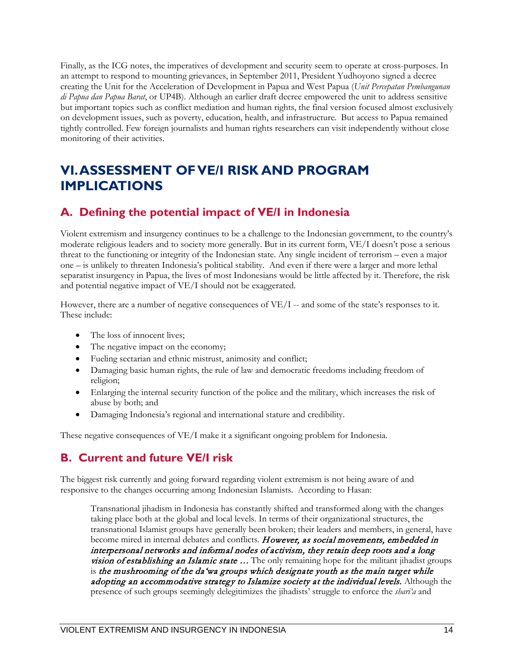Finally, as the ICG notes, the imperatives of development and security seem to operate at cross-purposes. In an attempt to respond to mounting grievances, in September 2011, President Yudhoyono signed a decree creating the Unit for the Acceleration of Development in Papua and West Papua (*Unit Percepatan Pembangunan di Papua dan Papua Barat*, or UP4B). Although an earlier draft decree empowered the unit to address sensitive but important topics such as conflict mediation and human rights, the final version focused almost exclusively on development issues, such as poverty, education, health, and infrastructure. But access to Papua remained tightly controlled. Few foreign journalists and human rights researchers can visit independently without close monitoring of their activities.

#### **VI. ASSESSMENT OF VE/I RISK AND PROGRAM IMPLICATIONS**

#### <span id="page-21-0"></span>**A. Defining the potential impact of VE/I in Indonesia**

Violent extremism and insurgency continues to be a challenge to the Indonesian government, to the country's moderate religious leaders and to society more generally. But in its current form, VE/I doesn't pose a serious threat to the functioning or integrity of the Indonesian state. Any single incident of terrorism – even a major one – is unlikely to threaten Indonesia's political stability. And even if there were a larger and more lethal separatist insurgency in Papua, the lives of most Indonesians would be little affected by it. Therefore, the risk and potential negative impact of VE/I should not be exaggerated.

However, there are a number of negative consequences of  $VE/I$  -- and some of the state's responses to it. These include:

- The loss of innocent lives;
- The negative impact on the economy;
- Fueling sectarian and ethnic mistrust, animosity and conflict;
- Damaging basic human rights, the rule of law and democratic freedoms including freedom of religion;
- Enlarging the internal security function of the police and the military, which increases the risk of abuse by both; and
- Damaging Indonesia's regional and international stature and credibility.

<span id="page-21-1"></span>These negative consequences of VE/I make it a significant ongoing problem for Indonesia.

#### **B. Current and future VE/I risk**

The biggest risk currently and going forward regarding violent extremism is not being aware of and responsive to the changes occurring among Indonesian Islamists. According to Hasan:

Transnational jihadism in Indonesia has constantly shifted and transformed along with the changes taking place both at the global and local levels. In terms of their organizational structures, the transnational Islamist groups have generally been broken; their leaders and members, in general, have become mired in internal debates and conflicts. However, as social movements, embedded in interpersonal networks and informal nodes of activism, they retain deep roots and a long **vision of establishing an Islamic state ...** The only remaining hope for the militant jihadist groups is the mushrooming of the da'wa groups which designate youth as the main target while adopting an accommodative strategy to Islamize society at the individual levels. Although the presence of such groups seemingly delegitimizes the jihadists' struggle to enforce the *shari'a* and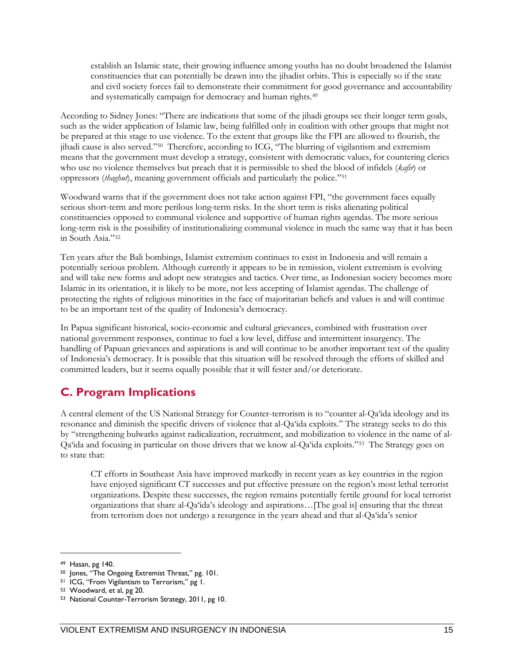establish an Islamic state, their growing influence among youths has no doubt broadened the Islamist constituencies that can potentially be drawn into the jihadist orbits. This is especially so if the state and civil society forces fail to demonstrate their commitment for good governance and accountability and systematically campaign for democracy and human rights.<sup>[49](#page-22-1)</sup>

According to Sidney Jones: "There are indications that some of the jihadi groups see their longer term goals, such as the wider application of Islamic law, being fulfilled only in coalition with other groups that might not be prepared at this stage to use violence. To the extent that groups like the FPI are allowed to flourish, the jihadi cause is also served."[50](#page-22-2) Therefore, according to ICG, "The blurring of vigilantism and extremism means that the government must develop a strategy, consistent with democratic values, for countering clerics who use no violence themselves but preach that it is permissible to shed the blood of infidels (*kafir*) or oppressors (*thaghut*), meaning government officials and particularly the police."[51](#page-22-3)

Woodward warns that if the government does not take action against FPI, "the government faces equally serious short-term and more perilous long-term risks. In the short term is risks alienating political constituencies opposed to communal violence and supportive of human rights agendas. The more serious long-term risk is the possibility of institutionalizing communal violence in much the same way that it has been in South Asia."[52](#page-22-4)

Ten years after the Bali bombings, Islamist extremism continues to exist in Indonesia and will remain a potentially serious problem. Although currently it appears to be in remission, violent extremism is evolving and will take new forms and adopt new strategies and tactics. Over time, as Indonesian society becomes more Islamic in its orientation, it is likely to be more, not less accepting of Islamist agendas. The challenge of protecting the rights of religious minorities in the face of majoritarian beliefs and values is and will continue to be an important test of the quality of Indonesia's democracy.

In Papua significant historical, socio-economic and cultural grievances, combined with frustration over national government responses, continue to fuel a low level, diffuse and intermittent insurgency. The handling of Papuan grievances and aspirations is and will continue to be another important test of the quality of Indonesia's democracy. It is possible that this situation will be resolved through the efforts of skilled and committed leaders, but it seems equally possible that it will fester and/or deteriorate.

#### <span id="page-22-0"></span>**C. Program Implications**

A central element of the US National Strategy for Counter-terrorism is to "counter al-Qa'ida ideology and its resonance and diminish the specific drivers of violence that al-Qa'ida exploits." The strategy seeks to do this by "strengthening bulwarks against radicalization, recruitment, and mobilization to violence in the name of al-Qa'ida and focusing in particular on those drivers that we know al-Qa'ida exploits."[53](#page-22-5) The Strategy goes on to state that:

CT efforts in Southeast Asia have improved markedly in recent years as key countries in the region have enjoyed significant CT successes and put effective pressure on the region's most lethal terrorist organizations. Despite these successes, the region remains potentially fertile ground for local terrorist organizations that share al-Qa'ida's ideology and aspirations…[The goal is] ensuring that the threat from terrorism does not undergo a resurgence in the years ahead and that al-Qa'ida's senior

<span id="page-22-1"></span><sup>&</sup>lt;sup>49</sup> Hasan, pg 140.<br><sup>50</sup> Jones, "The Ongoing Extremist Threat," pg. 101.

<span id="page-22-3"></span><span id="page-22-2"></span><sup>51</sup> ICG, "From Vigilantism to Terrorism," pg 1.

<span id="page-22-4"></span><sup>52</sup> Woodward, et al, pg 20.

<span id="page-22-5"></span><sup>53</sup> National Counter-Terrorism Strategy, 2011, pg 10.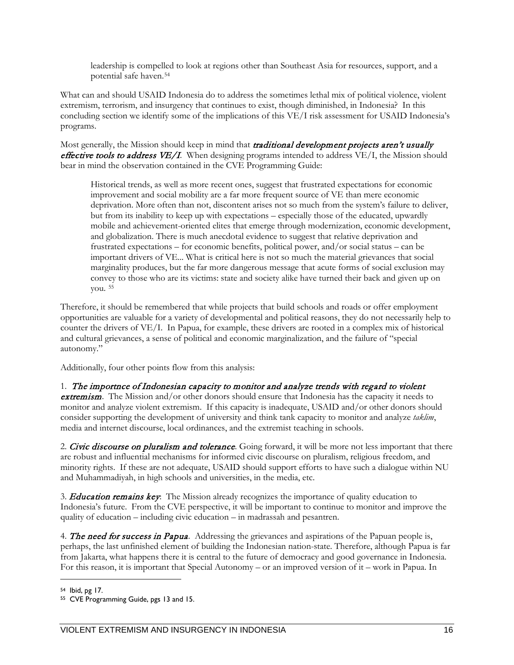leadership is compelled to look at regions other than Southeast Asia for resources, support, and a potential safe haven.[54](#page-23-0)

What can and should USAID Indonesia do to address the sometimes lethal mix of political violence, violent extremism, terrorism, and insurgency that continues to exist, though diminished, in Indonesia? In this concluding section we identify some of the implications of this VE/I risk assessment for USAID Indonesia's programs.

Most generally, the Mission should keep in mind that **traditional development projects aren't usually** effective tools to address VE/I. When designing programs intended to address VE/I, the Mission should bear in mind the observation contained in the CVE Programming Guide:

Historical trends, as well as more recent ones, suggest that frustrated expectations for economic improvement and social mobility are a far more frequent source of VE than mere economic deprivation. More often than not, discontent arises not so much from the system's failure to deliver, but from its inability to keep up with expectations – especially those of the educated, upwardly mobile and achievement-oriented elites that emerge through modernization, economic development, and globalization. There is much anecdotal evidence to suggest that relative deprivation and frustrated expectations – for economic benefits, political power, and/or social status – can be important drivers of VE... What is critical here is not so much the material grievances that social marginality produces, but the far more dangerous message that acute forms of social exclusion may convey to those who are its victims: state and society alike have turned their back and given up on you. [55](#page-23-1)

Therefore, it should be remembered that while projects that build schools and roads or offer employment opportunities are valuable for a variety of developmental and political reasons, they do not necessarily help to counter the drivers of VE/I. In Papua, for example, these drivers are rooted in a complex mix of historical and cultural grievances, a sense of political and economic marginalization, and the failure of "special autonomy."

Additionally, four other points flow from this analysis:

1. The importnce of Indonesian capacity to monitor and analyze trends with regard to violent extremism. The Mission and/or other donors should ensure that Indonesia has the capacity it needs to monitor and analyze violent extremism. If this capacity is inadequate, USAID and/or other donors should consider supporting the development of university and think tank capacity to monitor and analyze *taklim*, media and internet discourse, local ordinances, and the extremist teaching in schools.

2. Civic discourse on pluralism and tolerance. Going forward, it will be more not less important that there are robust and influential mechanisms for informed civic discourse on pluralism, religious freedom, and minority rights. If these are not adequate, USAID should support efforts to have such a dialogue within NU and Muhammadiyah, in high schools and universities, in the media, etc.

3. **Education remains key**: The Mission already recognizes the importance of quality education to Indonesia's future. From the CVE perspective, it will be important to continue to monitor and improve the quality of education – including civic education – in madrassah and pesantren.

4. The need for success in Papua. Addressing the grievances and aspirations of the Papuan people is, perhaps, the last unfinished element of building the Indonesian nation-state. Therefore, although Papua is far from Jakarta, what happens there it is central to the future of democracy and good governance in Indonesia. For this reason, it is important that Special Autonomy – or an improved version of it – work in Papua. In

<span id="page-23-0"></span><sup>54</sup> Ibid, pg 17.

<span id="page-23-1"></span><sup>55</sup> CVE Programming Guide, pgs 13 and 15.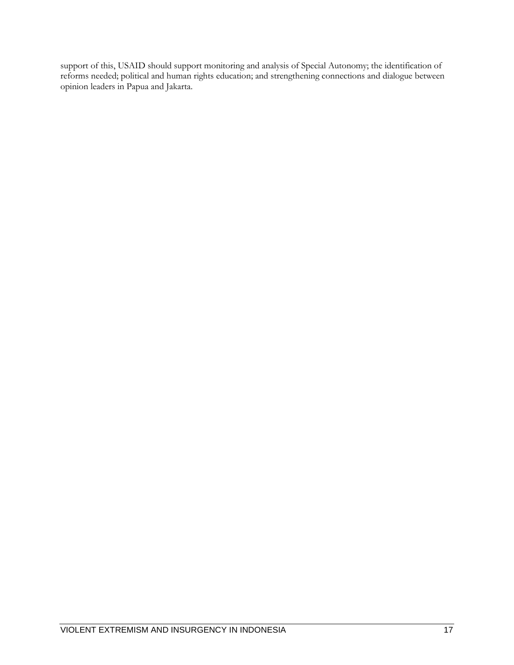support of this, USAID should support monitoring and analysis of Special Autonomy; the identification of reforms needed; political and human rights education; and strengthening connections and dialogue between opinion leaders in Papua and Jakarta.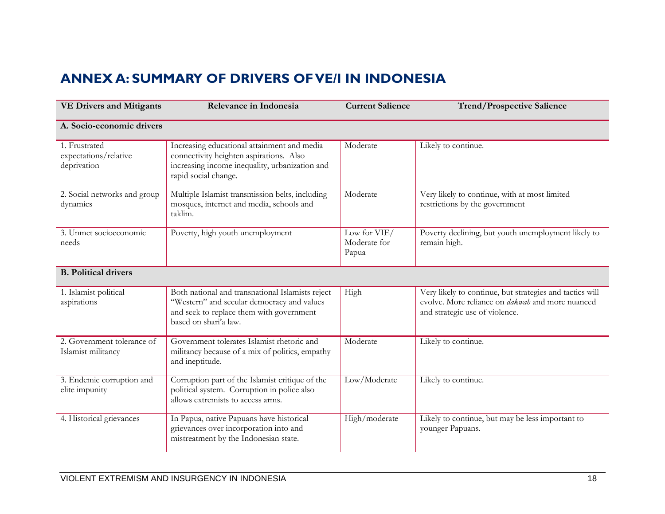#### **ANNEX A: SUMMARY OF DRIVERS OF VE/I IN INDONESIA**

<span id="page-25-0"></span>

| <b>VE Drivers and Mitigants</b>                       | Relevance in Indonesia                                                                                                                                              | <b>Current Salience</b>               | <b>Trend/Prospective Salience</b>                                                                                                                     |
|-------------------------------------------------------|---------------------------------------------------------------------------------------------------------------------------------------------------------------------|---------------------------------------|-------------------------------------------------------------------------------------------------------------------------------------------------------|
| A. Socio-economic drivers                             |                                                                                                                                                                     |                                       |                                                                                                                                                       |
| 1. Frustrated<br>expectations/relative<br>deprivation | Increasing educational attainment and media<br>connectivity heighten aspirations. Also<br>increasing income inequality, urbanization and<br>rapid social change.    | Moderate                              | Likely to continue.                                                                                                                                   |
| 2. Social networks and group<br>dynamics              | Multiple Islamist transmission belts, including<br>mosques, internet and media, schools and<br>taklim.                                                              | Moderate                              | Very likely to continue, with at most limited<br>restrictions by the government                                                                       |
| 3. Unmet socioeconomic<br>needs                       | Poverty, high youth unemployment                                                                                                                                    | Low for VIE/<br>Moderate for<br>Papua | Poverty declining, but youth unemployment likely to<br>remain high.                                                                                   |
| <b>B.</b> Political drivers                           |                                                                                                                                                                     |                                       |                                                                                                                                                       |
| 1. Islamist political<br>aspirations                  | Both national and transnational Islamists reject<br>"Western" and secular democracy and values<br>and seek to replace them with government<br>based on shari'a law. | High                                  | Very likely to continue, but strategies and tactics will<br>evolve. More reliance on <i>dakwab</i> and more nuanced<br>and strategic use of violence. |
| 2. Government tolerance of<br>Islamist militancy      | Government tolerates Islamist rhetoric and<br>militancy because of a mix of politics, empathy<br>and ineptitude.                                                    | Moderate                              | Likely to continue.                                                                                                                                   |
| 3. Endemic corruption and<br>elite impunity           | Corruption part of the Islamist critique of the<br>political system. Corruption in police also<br>allows extremists to access arms.                                 | Low/Moderate                          | Likely to continue.                                                                                                                                   |
| 4. Historical grievances                              | In Papua, native Papuans have historical<br>grievances over incorporation into and<br>mistreatment by the Indonesian state.                                         | High/moderate                         | Likely to continue, but may be less important to<br>younger Papuans.                                                                                  |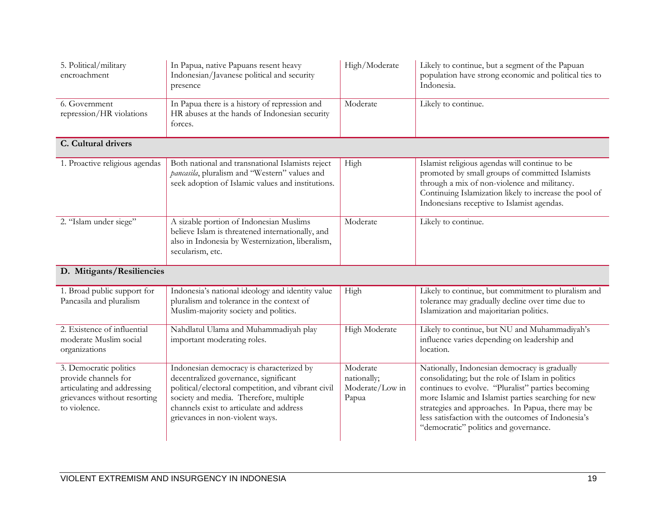| 5. Political/military<br>encroachment                                                                                         | In Papua, native Papuans resent heavy<br>Indonesian/Javanese political and security<br>presence                                                                                                                                                                  | High/Moderate                                       | Likely to continue, but a segment of the Papuan<br>population have strong economic and political ties to<br>Indonesia.                                                                                                                                                                                                                                            |
|-------------------------------------------------------------------------------------------------------------------------------|------------------------------------------------------------------------------------------------------------------------------------------------------------------------------------------------------------------------------------------------------------------|-----------------------------------------------------|-------------------------------------------------------------------------------------------------------------------------------------------------------------------------------------------------------------------------------------------------------------------------------------------------------------------------------------------------------------------|
| 6. Government<br>repression/HR violations                                                                                     | In Papua there is a history of repression and<br>HR abuses at the hands of Indonesian security<br>forces.                                                                                                                                                        | Moderate                                            | Likely to continue.                                                                                                                                                                                                                                                                                                                                               |
| C. Cultural drivers                                                                                                           |                                                                                                                                                                                                                                                                  |                                                     |                                                                                                                                                                                                                                                                                                                                                                   |
| 1. Proactive religious agendas                                                                                                | Both national and transnational Islamists reject<br>pancasila, pluralism and "Western" values and<br>seek adoption of Islamic values and institutions.                                                                                                           | High                                                | Islamist religious agendas will continue to be<br>promoted by small groups of committed Islamists<br>through a mix of non-violence and militancy.<br>Continuing Islamization likely to increase the pool of<br>Indonesians receptive to Islamist agendas.                                                                                                         |
| 2. "Islam under siege"                                                                                                        | A sizable portion of Indonesian Muslims<br>believe Islam is threatened internationally, and<br>also in Indonesia by Westernization, liberalism,<br>secularism, etc.                                                                                              | Moderate                                            | Likely to continue.                                                                                                                                                                                                                                                                                                                                               |
| D. Mitigants/Resiliencies                                                                                                     |                                                                                                                                                                                                                                                                  |                                                     |                                                                                                                                                                                                                                                                                                                                                                   |
| 1. Broad public support for<br>Pancasila and pluralism                                                                        | Indonesia's national ideology and identity value<br>pluralism and tolerance in the context of<br>Muslim-majority society and politics.                                                                                                                           | High                                                | Likely to continue, but commitment to pluralism and<br>tolerance may gradually decline over time due to<br>Islamization and majoritarian politics.                                                                                                                                                                                                                |
| 2. Existence of influential<br>moderate Muslim social<br>organizations                                                        | Nahdlatul Ulama and Muhammadiyah play<br>important moderating roles.                                                                                                                                                                                             | High Moderate                                       | Likely to continue, but NU and Muhammadiyah's<br>influence varies depending on leadership and<br>location.                                                                                                                                                                                                                                                        |
| 3. Democratic politics<br>provide channels for<br>articulating and addressing<br>grievances without resorting<br>to violence. | Indonesian democracy is characterized by<br>decentralized governance, significant<br>political/electoral competition, and vibrant civil<br>society and media. Therefore, multiple<br>channels exist to articulate and address<br>grievances in non-violent ways. | Moderate<br>nationally;<br>Moderate/Low in<br>Papua | Nationally, Indonesian democracy is gradually<br>consolidating; but the role of Islam in politics<br>continues to evolve. "Pluralist" parties becoming<br>more Islamic and Islamist parties searching for new<br>strategies and approaches. In Papua, there may be<br>less satisfaction with the outcomes of Indonesia's<br>"democratic" politics and governance. |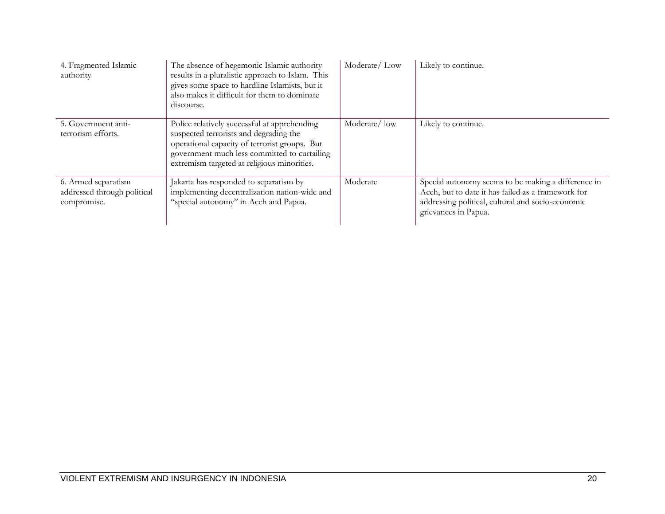| 4. Fragmented Islamic<br>authority                                | The absence of hegemonic Islamic authority<br>results in a pluralistic approach to Islam. This<br>gives some space to hardline Islamists, but it<br>also makes it difficult for them to dominate<br>discourse.                         | Moderate/L:ow | Likely to continue.                                                                                                                                                                    |
|-------------------------------------------------------------------|----------------------------------------------------------------------------------------------------------------------------------------------------------------------------------------------------------------------------------------|---------------|----------------------------------------------------------------------------------------------------------------------------------------------------------------------------------------|
| 5. Government anti-<br>terrorism efforts.                         | Police relatively successful at apprehending<br>suspected terrorists and degrading the<br>operational capacity of terrorist groups. But<br>government much less committed to curtailing<br>extremism targeted at religious minorities. | Moderate/low  | Likely to continue.                                                                                                                                                                    |
| 6. Armed separatism<br>addressed through political<br>compromise. | Jakarta has responded to separatism by<br>implementing decentralization nation-wide and<br>"special autonomy" in Aceh and Papua.                                                                                                       | Moderate      | Special autonomy seems to be making a difference in<br>Aceh, but to date it has failed as a framework for<br>addressing political, cultural and socio-economic<br>grievances in Papua. |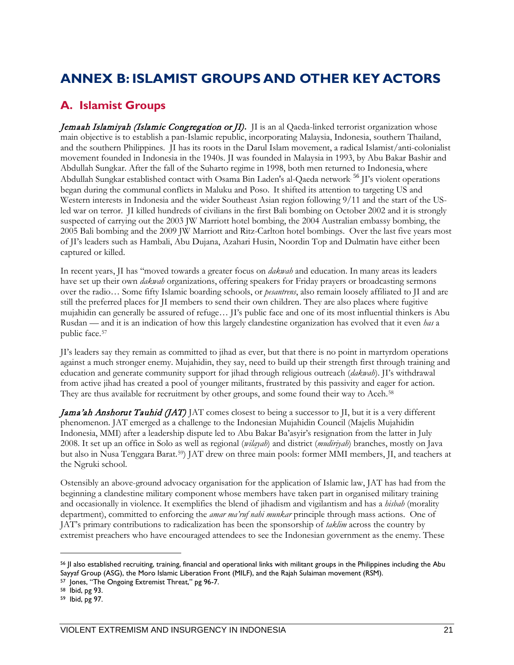#### <span id="page-28-0"></span>**ANNEX B: ISLAMIST GROUPS AND OTHER KEY ACTORS**

#### <span id="page-28-1"></span>**A. Islamist Groups**

**Jemaah Islamiyah (Islamic Congregation or JI).** II is an al Qaeda-linked terrorist organization whose main objective is to establish a pan-Islamic republic, incorporating Malaysia, Indonesia, southern Thailand, and the southern Philippines. JI has its roots in the [Darul Islam](http://en.wikipedia.org/wiki/Darul_Islam_(Indonesia)) movement, a radical Islamist/anti-colonialist movement founded in [Indonesia](http://en.wikipedia.org/wiki/Indonesia) in the 1940s. JI was founded in Malaysia in 1993, by [Abu Bakar Bashir](http://en.wikipedia.org/wiki/Abu_Bakar_Bashir) and [Abdullah Sungkar.](http://en.wikipedia.org/wiki/Abdullah_Sungkar) After the fall of th[e Suharto](http://en.wikipedia.org/wiki/Suharto) regime in 1998, both men returned to Indonesia, where [Abdullah Sungkar](http://en.wikipedia.org/wiki/Abdullah_Sungkar) established contact with [Osama Bin Laden's](http://en.wikipedia.org/wiki/Osama_Bin_Laden) [al-Qaeda](http://en.wikipedia.org/wiki/Al-Qaeda) network. [56](#page-28-2) JI's violent operations began during the communal conflicts in [Maluku](http://en.wikipedia.org/wiki/Maluku_Islands) and Poso. It shifted its attention to targeting US and Western interests in Indonesia and the wider Southeast Asian region following 9/11 and the start of the USled [war on terror.](http://en.wikipedia.org/wiki/War_on_Terrorism) JI killed hundreds of [civilians](http://en.wikipedia.org/wiki/Civilian) in the firs[t Bali bombing](http://en.wikipedia.org/wiki/2002_Bali_terrorist_bombing) on October 2002 and it is strongly suspected of carrying out the 2003 JW Marriott hotel bombing, the [2004 Australian embassy bombing,](http://en.wikipedia.org/wiki/2004_Jakarta_embassy_bombing) the [2005 Bali bombing](http://en.wikipedia.org/wiki/2005_Bali_bombings) and the 2009 JW Marriott [and Ritz-Carlton hotel bombings.](http://en.wikipedia.org/wiki/2009_Marriott_Hotel_bombing) Over the last five years most of JI's leaders such as [Hambali,](http://en.wikipedia.org/wiki/Hambali) [Abu Dujana,](http://en.wikipedia.org/wiki/Abu_Dujana) [Azahari Husin,](http://en.wikipedia.org/wiki/Azahari_Husin) [Noordin Top](http://en.wikipedia.org/wiki/Noordin_Top) an[d Dulmatin](http://en.wikipedia.org/wiki/Dulmatin) have either been captured or killed.

In recent years, JI has "moved towards a greater focus on *dakwah* and education. In many areas its leaders have set up their own *dakwah* organizations, offering speakers for Friday prayers or broadcasting sermons over the radio… Some fifty Islamic boarding schools, or *pesantrens*, also remain loosely affiliated to JI and are still the preferred places for JI members to send their own children. They are also places where fugitive mujahidin can generally be assured of refuge… JI's public face and one of its most influential thinkers is Abu Rusdan — and it is an indication of how this largely clandestine organization has evolved that it even *has* a public face.[57](#page-28-3) 

JI's leaders say they remain as committed to jihad as ever, but that there is no point in martyrdom operations against a much stronger enemy. Mujahidin, they say, need to build up their strength first through training and education and generate community support for jihad through religious outreach (*dakwah*). JI's withdrawal from active jihad has created a pool of younger militants, frustrated by this passivity and eager for action. They are thus available for recruitment by other groups, and some found their way to Aceh.[58](#page-28-4)

Jama'ah Anshorut Tauhid (JAT) JAT comes closest to being a successor to JI, but it is a very different phenomenon. JAT emerged as a challenge to the Indonesian Mujahidin Council (Majelis Mujahidin Indonesia, MMI) after a leadership dispute led to Abu Bakar Ba'asyir's resignation from the latter in July 2008. It set up an office in Solo as well as regional (*wilayah*) and district (*mudiriyah*) branches, mostly on Java but also in Nusa Tenggara Barat.[59](#page-28-5)) JAT drew on three main pools: former MMI members, JI, and teachers at the Ngruki school.

Ostensibly an above-ground advocacy organisation for the application of Islamic law, JAT has had from the beginning a clandestine military component whose members have taken part in organised military training and occasionally in violence. It exemplifies the blend of jihadism and vigilantism and has a *hisbah* (morality department), committed to enforcing the *amar ma'ruf nahi munkar* principle through mass actions. One of JAT's primary contributions to radicalization has been the sponsorship of *taklim* across the country by extremist preachers who have encouraged attendees to see the Indonesian government as the enemy. These

<span id="page-28-2"></span><sup>56</sup> JI also established recruiting, training, financial and operational links with militant groups in the Philippines including th[e Abu](http://en.wikipedia.org/wiki/Abu_Sayyaf)  [Sayyaf](http://en.wikipedia.org/wiki/Abu_Sayyaf) Group (ASG), th[e Moro Islamic Liberation Front](http://en.wikipedia.org/wiki/Moro_Islamic_Liberation_Front) (MILF), and th[e Rajah Sulaiman movement](http://en.wikipedia.org/wiki/Rajah_Sulaiman_movement) (RSM).

<span id="page-28-3"></span><sup>&</sup>lt;sup>57</sup> Jones, "The Ongoing Extremist Threat," pg 96-7.

<span id="page-28-4"></span><sup>58</sup> Ibid, pg 93.

<span id="page-28-5"></span><sup>59</sup> Ibid, pg 97.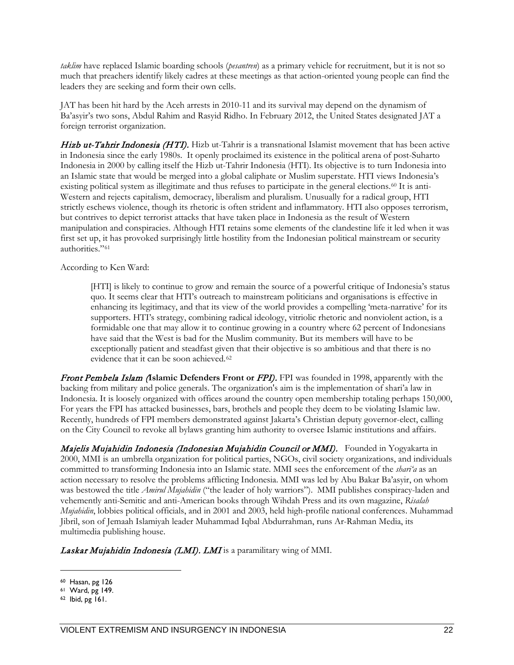*taklim* have replaced Islamic boarding schools (*pesantren*) as a primary vehicle for recruitment, but it is not so much that preachers identify likely cadres at these meetings as that action-oriented young people can find the leaders they are seeking and form their own cells.

JAT has been hit hard by the Aceh arrests in 2010-11 and its survival may depend on the dynamism of Ba'asyir's two sons, Abdul Rahim and Rasyid Ridho. In February 2012, the United States designated JAT a foreign terrorist organization.

Hizb ut-Tahrir Indonesia (HTI). Hizb ut-Tahrir is a transnational Islamist movement that has been active in Indonesia since the early 1980s. It openly proclaimed its existence in the political arena of post-Suharto Indonesia in 2000 by calling itself the Hizb ut-Tahrir Indonesia (HTI). Its objective is to turn Indonesia into an Islamic state that would be merged into a global caliphate or Muslim superstate. HTI views Indonesia's existing political system as illegitimate and thus refuses to participate in the general elections.<sup>[60](#page-29-0)</sup> It is anti-Western and rejects capitalism, democracy, liberalism and pluralism. Unusually for a radical group, HTI strictly eschews violence, though its rhetoric is often strident and inflammatory. HTI also opposes terrorism, but contrives to depict terrorist attacks that have taken place in Indonesia as the result of Western manipulation and conspiracies. Although HTI retains some elements of the clandestine life it led when it was first set up, it has provoked surprisingly little hostility from the Indonesian political mainstream or security authorities."[61](#page-29-1)

According to Ken Ward:

[HTI] is likely to continue to grow and remain the source of a powerful critique of Indonesia's status quo. It seems clear that HTI's outreach to mainstream politicians and organisations is effective in enhancing its legitimacy, and that its view of the world provides a compelling 'meta-narrative' for its supporters. HTI's strategy, combining radical ideology, vitriolic rhetoric and nonviolent action, is a formidable one that may allow it to continue growing in a country where 62 percent of Indonesians have said that the West is bad for the Muslim community. But its members will have to be exceptionally patient and steadfast given that their objective is so ambitious and that there is no evidence that it can be soon achieved.<sup>[62](#page-29-2)</sup>

Front Pembela Islam (**Islamic Defenders Front or** FPI). FPI was founded in 1998, apparently with the backing from military and police generals. The organization's aim is the implementation of shari'a law in Indonesia. It is loosely organized with offices around the country open membership totaling perhaps 150,000, For years the FPI has attacked businesses, bars, brothels and people they deem to be violating Islamic law. Recently, hundreds of FPI members demonstrated against Jakarta's Christian deputy governor-elect, calling on the City Council to revoke all bylaws granting him authority to oversee Islamic institutions and affairs.

Majelis Mujahidin Indonesia (Indonesian Mujahidin Council or MMI). Founded in Yogyakarta in 2000, MMI is an umbrella organization for political parties, NGOs, civil society organizations, and individuals committed to transforming Indonesia into an Islamic state. MMI sees the enforcement of the *shari'a* as an action necessary to resolve the problems afflicting Indonesia. MMI was led by Abu Bakar Ba'asyir, on whom was bestowed the title *Amirul Mujahidin* ("the leader of holy warriors"). MMI publishes conspiracy-laden and vehemently anti-Semitic and anti-American books through Wihdah Press and its own magazine, *Risalah Mujahidin*, lobbies political officials, and in 2001 and 2003, held high-profile national conferences. Muhammad Jibril, son of Jemaah Islamiyah leader Muhammad Iqbal Abdurrahman, runs Ar-Rahman Media, its multimedia publishing house.

Laskar Mujahidin Indonesia (LMI). LMI is a paramilitary wing of MMI.

<span id="page-29-0"></span><sup>60</sup> Hasan, pg 126

<span id="page-29-1"></span><sup>61</sup> Ward, pg 149.

<span id="page-29-2"></span><sup>62</sup> Ibid, pg 161.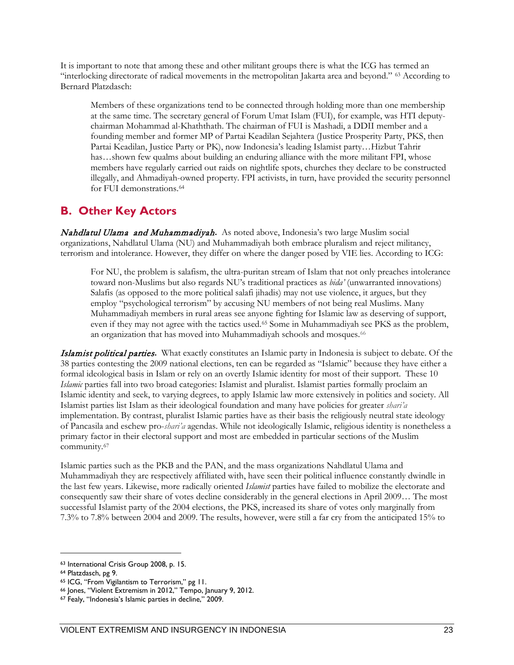It is important to note that among these and other militant groups there is what the ICG has termed an "interlocking directorate of radical movements in the metropolitan Jakarta area and beyond." [63](#page-30-1) According to Bernard Platzdasch:

Members of these organizations tend to be connected through holding more than one membership at the same time. The secretary general of Forum Umat Islam (FUI), for example, was HTI deputychairman Mohammad al-Khaththath. The chairman of FUI is Mashadi, a DDII member and a founding member and former MP of Partai Keadilan Sejahtera (Justice Prosperity Party, PKS, then Partai Keadilan, Justice Party or PK), now Indonesia's leading Islamist party…Hizbut Tahrir has…shown few qualms about building an enduring alliance with the more militant FPI, whose members have regularly carried out raids on nightlife spots, churches they declare to be constructed illegally, and Ahmadiyah-owned property. FPI activists, in turn, have provided the security personnel for FUI demonstrations.<sup>[64](#page-30-2)</sup>

#### <span id="page-30-0"></span>**B. Other Key Actors**

Nahdlatul Ulama and Muhammadiyah**.** As noted above, Indonesia's two large Muslim social organizations, Nahdlatul Ulama (NU) and Muhammadiyah both embrace pluralism and reject militancy, terrorism and intolerance. However, they differ on where the danger posed by VIE lies. According to ICG:

For NU, the problem is salafism, the ultra-puritan stream of Islam that not only preaches intolerance toward non-Muslims but also regards NU's traditional practices as *bida'* (unwarranted innovations) Salafis (as opposed to the more political salafi jihadis) may not use violence, it argues, but they employ "psychological terrorism" by accusing NU members of not being real Muslims. Many Muhammadiyah members in rural areas see anyone fighting for Islamic law as deserving of support, even if they may not agree with the tactics used.<sup>[65](#page-30-3)</sup> Some in Muhammadiyah see PKS as the problem, an organization that has moved into Muhammadiyah schools and mosques.<sup>66</sup>

Islamist political parties**.** What exactly constitutes an Islamic party in Indonesia is subject to debate. Of the 38 parties contesting the 2009 national elections, ten can be regarded as "Islamic" because they have either a formal ideological basis in Islam or rely on an overtly Islamic identity for most of their support. These 10 *Islamic* parties fall into two broad categories: Islamist and pluralist. Islamist parties formally proclaim an Islamic identity and seek, to varying degrees, to apply Islamic law more extensively in politics and society. All Islamist parties list Islam as their ideological foundation and many have policies for greater *shari'a* implementation. By contrast, pluralist Islamic parties have as their basis the religiously neutral state ideology of Pancasila and eschew pro-*shari'a* agendas. While not ideologically Islamic, religious identity is nonetheless a primary factor in their electoral support and most are embedded in particular sections of the Muslim community[.67](#page-30-5) 

Islamic parties such as the PKB and the PAN, and the mass organizations Nahdlatul Ulama and Muhammadiyah they are respectively affiliated with, have seen their political influence constantly dwindle in the last few years. Likewise, more radically oriented *Islamist* parties have failed to mobilize the electorate and consequently saw their share of votes decline considerably in the general elections in April 2009… The most successful Islamist party of the 2004 elections, the PKS, increased its share of votes only marginally from 7.3% to 7.8% between 2004 and 2009. The results, however, were still a far cry from the anticipated 15% to

<span id="page-30-1"></span><sup>63</sup> International Crisis Group 2008, p. 15.

<span id="page-30-2"></span><sup>64</sup> Platzdasch, pg 9.

<span id="page-30-3"></span><sup>65</sup> ICG, "From Vigilantism to Terrorism," pg 11.

<span id="page-30-4"></span><sup>66</sup> Jones, "Violent Extremism in 2012," Tempo, January 9, 2012.

<span id="page-30-5"></span><sup>67</sup> Fealy, "Indonesia's Islamic parties in decline," 2009.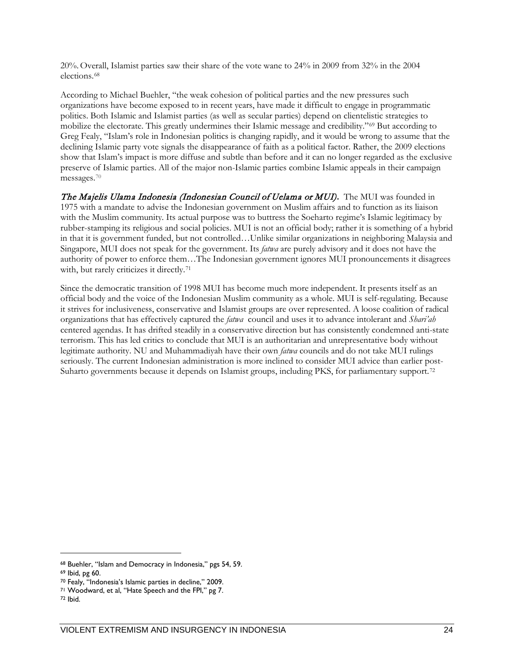20%.Overall, Islamist parties saw their share of the vote wane to 24% in 2009 from 32% in the 2004 elections.[68](#page-31-0) 

According to Michael Buehler, "the weak cohesion of political parties and the new pressures such organizations have become exposed to in recent years, have made it difficult to engage in programmatic politics. Both Islamic and Islamist parties (as well as secular parties) depend on clientelistic strategies to mobilize the electorate. This greatly undermines their Islamic message and credibility."[69](#page-31-1) But according to Greg Fealy, "Islam's role in Indonesian politics is changing rapidly, and it would be wrong to assume that the declining Islamic party vote signals the disappearance of faith as a political factor. Rather, the 2009 elections show that Islam's impact is more diffuse and subtle than before and it can no longer regarded as the exclusive preserve of Islamic parties. All of the major non-Islamic parties combine Islamic appeals in their campaign messages.[70](#page-31-2)

The Majelis Ulama Indonesia (Indonesian Council of Uelama or MUI)**.** The MUI was founded in 1975 with a mandate to advise the Indonesian government on Muslim affairs and to function as its liaison with the Muslim community. Its actual purpose was to buttress the Soeharto regime's Islamic legitimacy by rubber-stamping its religious and social policies. MUI is not an official body; rather it is something of a hybrid in that it is government funded, but not controlled…Unlike similar organizations in neighboring Malaysia and Singapore, MUI does not speak for the government. Its *fatwa* are purely advisory and it does not have the authority of power to enforce them…The Indonesian government ignores MUI pronouncements it disagrees with, but rarely criticizes it directly.<sup>71</sup>

Since the democratic transition of 1998 MUI has become much more independent. It presents itself as an official body and the voice of the Indonesian Muslim community as a whole. MUI is self-regulating. Because it strives for inclusiveness, conservative and Islamist groups are over represented. A loose coalition of radical organizations that has effectively captured the *fatwa* council and uses it to advance intolerant and *Shari'ah*  centered agendas. It has drifted steadily in a conservative direction but has consistently condemned anti-state terrorism. This has led critics to conclude that MUI is an authoritarian and unrepresentative body without legitimate authority. NU and Muhammadiyah have their own *fatwa* councils and do not take MUI rulings seriously. The current Indonesian administration is more inclined to consider MUI advice than earlier post-Suharto governments because it depends on Islamist groups, including PKS, for parliamentary support.<sup>[72](#page-31-4)</sup>

<span id="page-31-0"></span><sup>68</sup> Buehler, "Islam and Democracy in Indonesia," pgs 54, 59.

<span id="page-31-1"></span><sup>&</sup>lt;sup>69</sup> Ibid, pg 60.<br><sup>70</sup> Fealy, "Indonesia's Islamic parties in decline," 2009.

<span id="page-31-3"></span><span id="page-31-2"></span><sup>71</sup> Woodward, et al, "Hate Speech and the FPI," pg 7.

<span id="page-31-4"></span><sup>72</sup> Ibid.